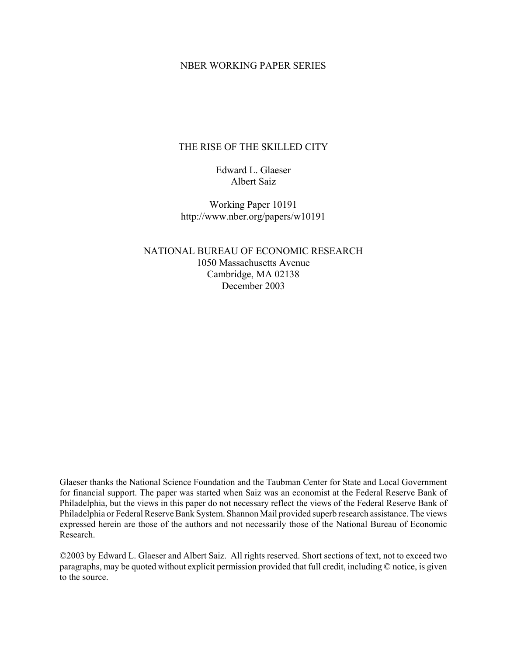#### NBER WORKING PAPER SERIES

## THE RISE OF THE SKILLED CITY

Edward L. Glaeser Albert Saiz

Working Paper 10191 http://www.nber.org/papers/w10191

NATIONAL BUREAU OF ECONOMIC RESEARCH 1050 Massachusetts Avenue Cambridge, MA 02138 December 2003

Glaeser thanks the National Science Foundation and the Taubman Center for State and Local Government for financial support. The paper was started when Saiz was an economist at the Federal Reserve Bank of Philadelphia, but the views in this paper do not necessary reflect the views of the Federal Reserve Bank of Philadelphia or Federal Reserve Bank System. Shannon Mail provided superb research assistance. The views expressed herein are those of the authors and not necessarily those of the National Bureau of Economic Research.

©2003 by Edward L. Glaeser and Albert Saiz. All rights reserved. Short sections of text, not to exceed two paragraphs, may be quoted without explicit permission provided that full credit, including © notice, is given to the source.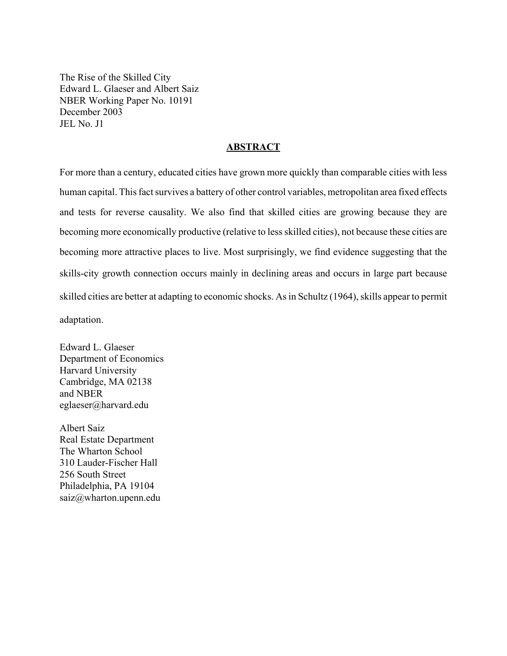The Rise of the Skilled City Edward L. Glaeser and Albert Saiz NBER Working Paper No. 10191 December 2003 JEL No. J1

## **ABSTRACT**

For more than a century, educated cities have grown more quickly than comparable cities with less human capital. This fact survives a battery of other control variables, metropolitan area fixed effects and tests for reverse causality. We also find that skilled cities are growing because they are becoming more economically productive (relative to less skilled cities), not because these cities are becoming more attractive places to live. Most surprisingly, we find evidence suggesting that the skills-city growth connection occurs mainly in declining areas and occurs in large part because skilled cities are better at adapting to economic shocks. As in Schultz (1964), skills appear to permit adaptation.

Edward L. Glaeser Department of Economics Harvard University Cambridge, MA 02138 and NBER eglaeser@harvard.edu

Albert Saiz Real Estate Department The Wharton School 310 Lauder-Fischer Hall 256 South Street Philadelphia, PA 19104 saiz@wharton.upenn.edu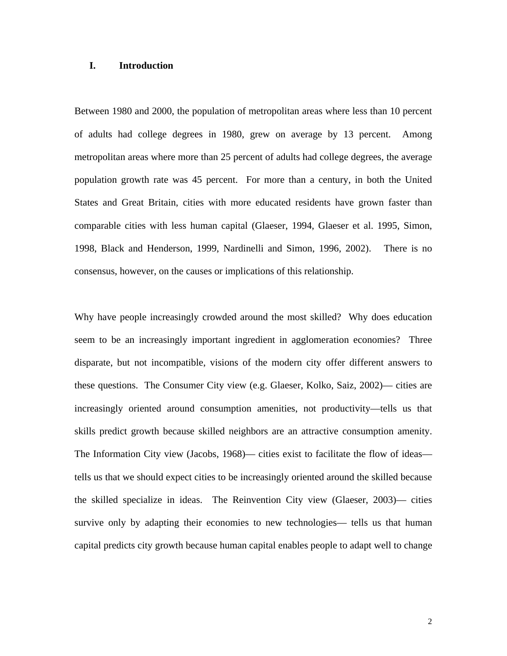## **I. Introduction**

Between 1980 and 2000, the population of metropolitan areas where less than 10 percent of adults had college degrees in 1980, grew on average by 13 percent. Among metropolitan areas where more than 25 percent of adults had college degrees, the average population growth rate was 45 percent. For more than a century, in both the United States and Great Britain, cities with more educated residents have grown faster than comparable cities with less human capital (Glaeser, 1994, Glaeser et al. 1995, Simon, 1998, Black and Henderson, 1999, Nardinelli and Simon, 1996, 2002). There is no consensus, however, on the causes or implications of this relationship.

Why have people increasingly crowded around the most skilled? Why does education seem to be an increasingly important ingredient in agglomeration economies? Three disparate, but not incompatible, visions of the modern city offer different answers to these questions. The Consumer City view (e.g. Glaeser, Kolko, Saiz, 2002)— cities are increasingly oriented around consumption amenities, not productivity—tells us that skills predict growth because skilled neighbors are an attractive consumption amenity. The Information City view (Jacobs, 1968)— cities exist to facilitate the flow of ideas tells us that we should expect cities to be increasingly oriented around the skilled because the skilled specialize in ideas. The Reinvention City view (Glaeser, 2003)— cities survive only by adapting their economies to new technologies— tells us that human capital predicts city growth because human capital enables people to adapt well to change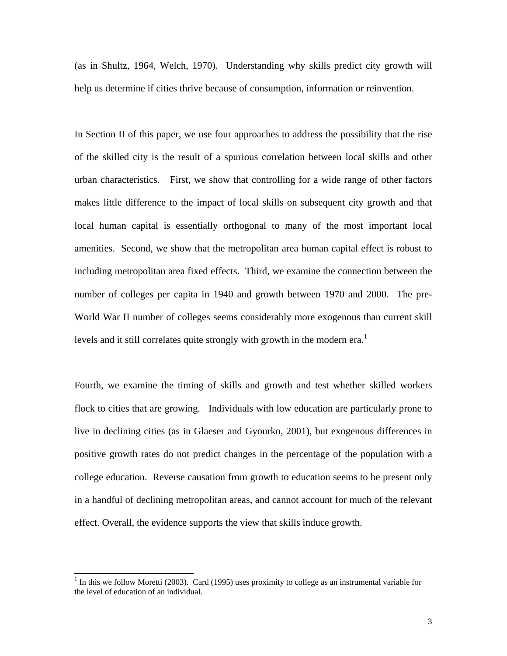(as in Shultz, 1964, Welch, 1970). Understanding why skills predict city growth will help us determine if cities thrive because of consumption, information or reinvention.

In Section II of this paper, we use four approaches to address the possibility that the rise of the skilled city is the result of a spurious correlation between local skills and other urban characteristics. First, we show that controlling for a wide range of other factors makes little difference to the impact of local skills on subsequent city growth and that local human capital is essentially orthogonal to many of the most important local amenities. Second, we show that the metropolitan area human capital effect is robust to including metropolitan area fixed effects. Third, we examine the connection between the number of colleges per capita in 1940 and growth between 1970 and 2000. The pre-World War II number of colleges seems considerably more exogenous than current skill levels and it still correlates quite strongly with growth in the modern era.<sup>[1](#page-3-0)</sup>

Fourth, we examine the timing of skills and growth and test whether skilled workers flock to cities that are growing. Individuals with low education are particularly prone to live in declining cities (as in Glaeser and Gyourko, 2001), but exogenous differences in positive growth rates do not predict changes in the percentage of the population with a college education. Reverse causation from growth to education seems to be present only in a handful of declining metropolitan areas, and cannot account for much of the relevant effect. Overall, the evidence supports the view that skills induce growth.

<span id="page-3-0"></span> $\frac{1}{1}$  $1$  In this we follow Moretti (2003). Card (1995) uses proximity to college as an instrumental variable for the level of education of an individual.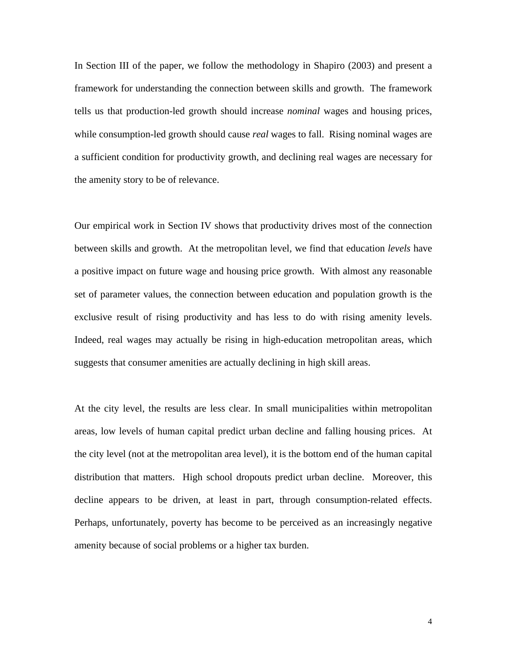In Section III of the paper, we follow the methodology in Shapiro (2003) and present a framework for understanding the connection between skills and growth. The framework tells us that production-led growth should increase *nominal* wages and housing prices, while consumption-led growth should cause *real* wages to fall. Rising nominal wages are a sufficient condition for productivity growth, and declining real wages are necessary for the amenity story to be of relevance.

Our empirical work in Section IV shows that productivity drives most of the connection between skills and growth. At the metropolitan level, we find that education *levels* have a positive impact on future wage and housing price growth. With almost any reasonable set of parameter values, the connection between education and population growth is the exclusive result of rising productivity and has less to do with rising amenity levels. Indeed, real wages may actually be rising in high-education metropolitan areas, which suggests that consumer amenities are actually declining in high skill areas.

At the city level, the results are less clear. In small municipalities within metropolitan areas, low levels of human capital predict urban decline and falling housing prices. At the city level (not at the metropolitan area level), it is the bottom end of the human capital distribution that matters. High school dropouts predict urban decline. Moreover, this decline appears to be driven, at least in part, through consumption-related effects. Perhaps, unfortunately, poverty has become to be perceived as an increasingly negative amenity because of social problems or a higher tax burden.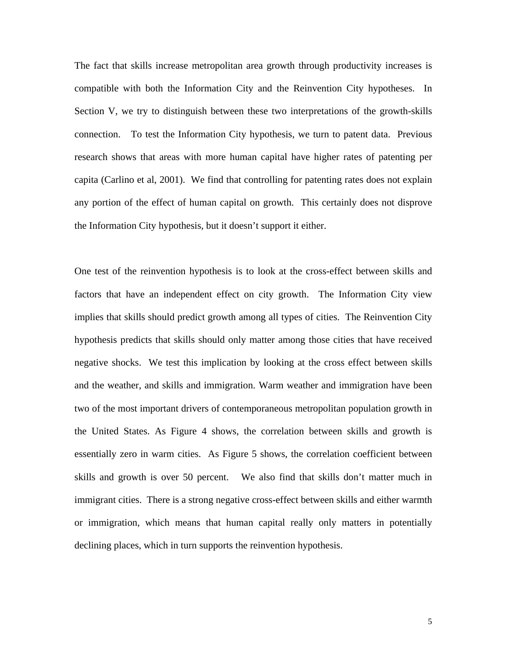The fact that skills increase metropolitan area growth through productivity increases is compatible with both the Information City and the Reinvention City hypotheses. In Section V, we try to distinguish between these two interpretations of the growth-skills connection. To test the Information City hypothesis, we turn to patent data. Previous research shows that areas with more human capital have higher rates of patenting per capita (Carlino et al, 2001). We find that controlling for patenting rates does not explain any portion of the effect of human capital on growth. This certainly does not disprove the Information City hypothesis, but it doesn't support it either.

One test of the reinvention hypothesis is to look at the cross-effect between skills and factors that have an independent effect on city growth. The Information City view implies that skills should predict growth among all types of cities. The Reinvention City hypothesis predicts that skills should only matter among those cities that have received negative shocks. We test this implication by looking at the cross effect between skills and the weather, and skills and immigration. Warm weather and immigration have been two of the most important drivers of contemporaneous metropolitan population growth in the United States. As Figure 4 shows, the correlation between skills and growth is essentially zero in warm cities. As Figure 5 shows, the correlation coefficient between skills and growth is over 50 percent. We also find that skills don't matter much in immigrant cities. There is a strong negative cross-effect between skills and either warmth or immigration, which means that human capital really only matters in potentially declining places, which in turn supports the reinvention hypothesis.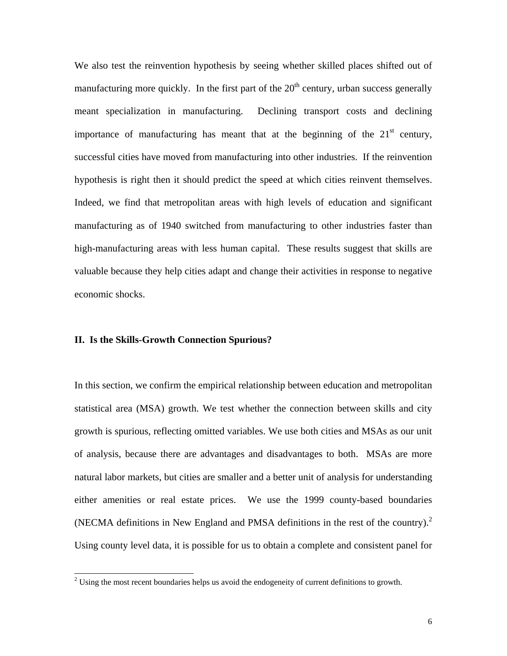We also test the reinvention hypothesis by seeing whether skilled places shifted out of manufacturing more quickly. In the first part of the  $20<sup>th</sup>$  century, urban success generally meant specialization in manufacturing. Declining transport costs and declining importance of manufacturing has meant that at the beginning of the  $21<sup>st</sup>$  century, successful cities have moved from manufacturing into other industries. If the reinvention hypothesis is right then it should predict the speed at which cities reinvent themselves. Indeed, we find that metropolitan areas with high levels of education and significant manufacturing as of 1940 switched from manufacturing to other industries faster than high-manufacturing areas with less human capital. These results suggest that skills are valuable because they help cities adapt and change their activities in response to negative economic shocks.

#### **II. Is the Skills-Growth Connection Spurious?**

In this section, we confirm the empirical relationship between education and metropolitan statistical area (MSA) growth. We test whether the connection between skills and city growth is spurious, reflecting omitted variables. We use both cities and MSAs as our unit of analysis, because there are advantages and disadvantages to both. MSAs are more natural labor markets, but cities are smaller and a better unit of analysis for understanding either amenities or real estate prices. We use the 1999 county-based boundaries (NECMA definitions in New England and PMSA definitions in the rest of the country).<sup>2</sup> Using county level data, it is possible for us to obtain a complete and consistent panel for

<span id="page-6-0"></span> $\frac{1}{2}$  $2^2$  Using the most recent boundaries helps us avoid the endogeneity of current definitions to growth.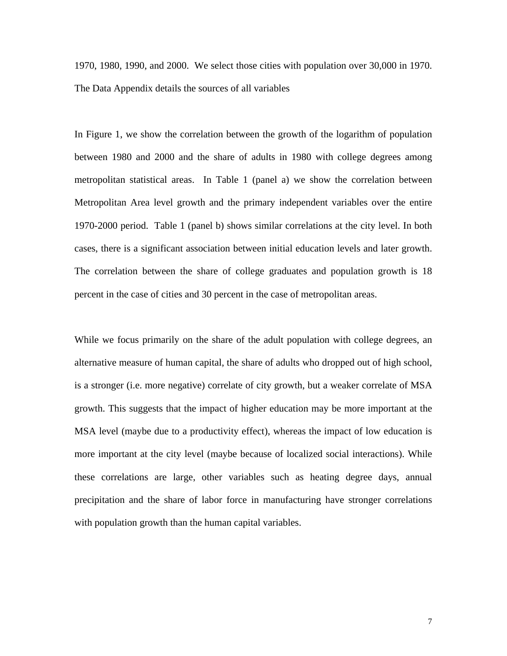1970, 1980, 1990, and 2000. We select those cities with population over 30,000 in 1970. The Data Appendix details the sources of all variables

In Figure 1, we show the correlation between the growth of the logarithm of population between 1980 and 2000 and the share of adults in 1980 with college degrees among metropolitan statistical areas. In Table 1 (panel a) we show the correlation between Metropolitan Area level growth and the primary independent variables over the entire 1970-2000 period. Table 1 (panel b) shows similar correlations at the city level. In both cases, there is a significant association between initial education levels and later growth. The correlation between the share of college graduates and population growth is 18 percent in the case of cities and 30 percent in the case of metropolitan areas.

While we focus primarily on the share of the adult population with college degrees, an alternative measure of human capital, the share of adults who dropped out of high school, is a stronger (i.e. more negative) correlate of city growth, but a weaker correlate of MSA growth. This suggests that the impact of higher education may be more important at the MSA level (maybe due to a productivity effect), whereas the impact of low education is more important at the city level (maybe because of localized social interactions). While these correlations are large, other variables such as heating degree days, annual precipitation and the share of labor force in manufacturing have stronger correlations with population growth than the human capital variables.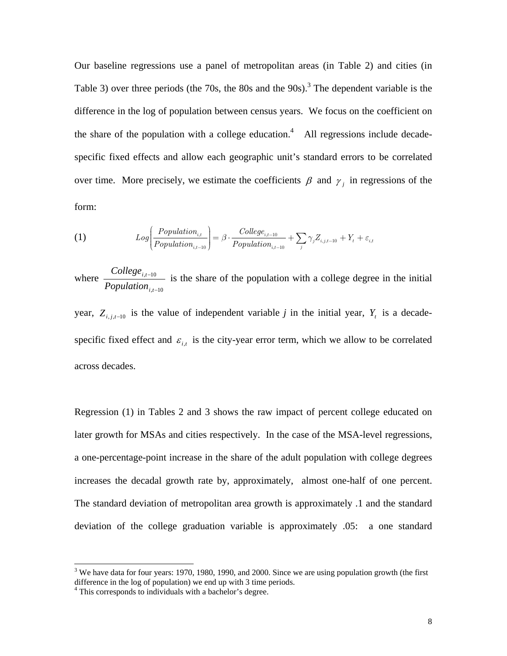Our baseline regressions use a panel of metropolitan areas (in Table 2) and cities (in Table 3) over three periods (the 70s, the 80s and the 90s).<sup>3</sup> The dependent variable is the difference in the log of population between census years. We focus on the coefficient on the share of the population with a college education.<sup>[4](#page-8-1)</sup> All regressions include decadespecific fixed effects and allow each geographic unit's standard errors to be correlated over time. More precisely, we estimate the coefficients  $\beta$  and  $\gamma$  in regressions of the form:

(1) 
$$
Log\left(\frac{Population_{i,t}}{Population_{i,t-10}}\right) = \beta \cdot \frac{College_{i,t-10}}{Population_{i,t-10}} + \sum_{j} \gamma_{j} Z_{i,j,t-10} + Y_{t} + \varepsilon_{i,t}
$$

where  $,t-10$  $,t-10$ − − *i t i t Population*  $\frac{College_{i,t-10}}{I}$  is the share of the population with a college degree in the initial

year,  $Z_{i,j,t-10}$  is the value of independent variable *j* in the initial year,  $Y_t$  is a decadespecific fixed effect and  $\varepsilon_{i,t}$  is the city-year error term, which we allow to be correlated across decades.

Regression (1) in Tables 2 and 3 shows the raw impact of percent college educated on later growth for MSAs and cities respectively. In the case of the MSA-level regressions, a one-percentage-point increase in the share of the adult population with college degrees increases the decadal growth rate by, approximately, almost one-half of one percent. The standard deviation of metropolitan area growth is approximately .1 and the standard deviation of the college graduation variable is approximately .05: a one standard

<span id="page-8-0"></span><sup>&</sup>lt;sup>2</sup><br>3  $3$  We have data for four years: 1970, 1980, 1990, and 2000. Since we are using population growth (the first difference in the log of population) we end up with 3 time periods. 4

<span id="page-8-1"></span><sup>&</sup>lt;sup>4</sup> This corresponds to individuals with a bachelor's degree.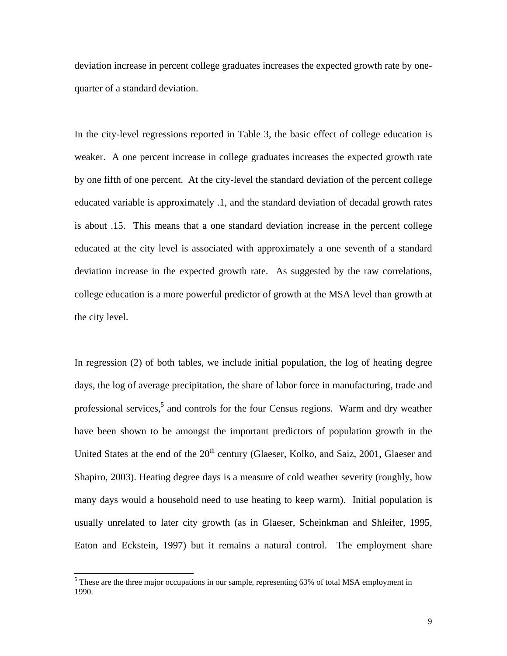deviation increase in percent college graduates increases the expected growth rate by onequarter of a standard deviation.

In the city-level regressions reported in Table 3, the basic effect of college education is weaker. A one percent increase in college graduates increases the expected growth rate by one fifth of one percent. At the city-level the standard deviation of the percent college educated variable is approximately .1, and the standard deviation of decadal growth rates is about .15. This means that a one standard deviation increase in the percent college educated at the city level is associated with approximately a one seventh of a standard deviation increase in the expected growth rate. As suggested by the raw correlations, college education is a more powerful predictor of growth at the MSA level than growth at the city level.

In regression (2) of both tables, we include initial population, the log of heating degree days, the log of average precipitation, the share of labor force in manufacturing, trade and professional services,<sup>5</sup> and controls for the four Census regions. Warm and dry weather have been shown to be amongst the important predictors of population growth in the United States at the end of the  $20<sup>th</sup>$  century (Glaeser, Kolko, and Saiz, 2001, Glaeser and Shapiro, 2003). Heating degree days is a measure of cold weather severity (roughly, how many days would a household need to use heating to keep warm). Initial population is usually unrelated to later city growth (as in Glaeser, Scheinkman and Shleifer, 1995, Eaton and Eckstein, 1997) but it remains a natural control. The employment share

<span id="page-9-0"></span> <sup>5</sup> <sup>5</sup> These are the three major occupations in our sample, representing 63% of total MSA employment in 1990.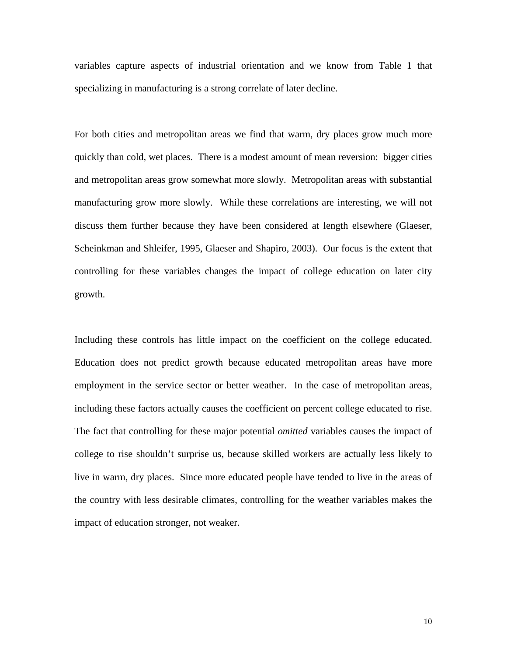variables capture aspects of industrial orientation and we know from Table 1 that specializing in manufacturing is a strong correlate of later decline.

For both cities and metropolitan areas we find that warm, dry places grow much more quickly than cold, wet places. There is a modest amount of mean reversion: bigger cities and metropolitan areas grow somewhat more slowly. Metropolitan areas with substantial manufacturing grow more slowly. While these correlations are interesting, we will not discuss them further because they have been considered at length elsewhere (Glaeser, Scheinkman and Shleifer, 1995, Glaeser and Shapiro, 2003). Our focus is the extent that controlling for these variables changes the impact of college education on later city growth.

Including these controls has little impact on the coefficient on the college educated. Education does not predict growth because educated metropolitan areas have more employment in the service sector or better weather. In the case of metropolitan areas, including these factors actually causes the coefficient on percent college educated to rise. The fact that controlling for these major potential *omitted* variables causes the impact of college to rise shouldn't surprise us, because skilled workers are actually less likely to live in warm, dry places. Since more educated people have tended to live in the areas of the country with less desirable climates, controlling for the weather variables makes the impact of education stronger, not weaker.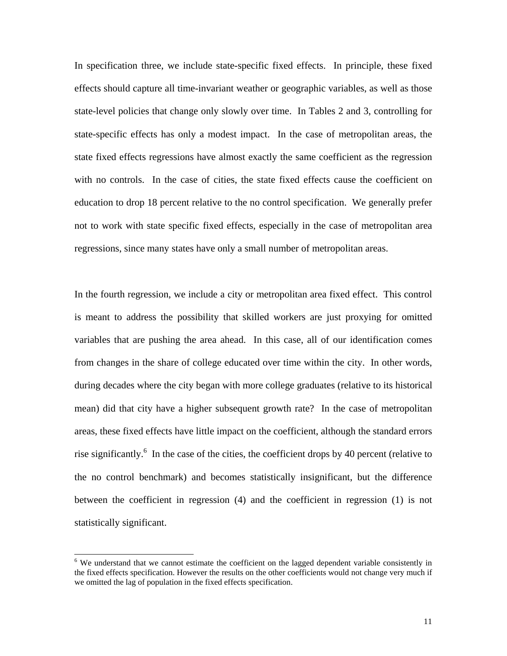In specification three, we include state-specific fixed effects. In principle, these fixed effects should capture all time-invariant weather or geographic variables, as well as those state-level policies that change only slowly over time. In Tables 2 and 3, controlling for state-specific effects has only a modest impact. In the case of metropolitan areas, the state fixed effects regressions have almost exactly the same coefficient as the regression with no controls. In the case of cities, the state fixed effects cause the coefficient on education to drop 18 percent relative to the no control specification. We generally prefer not to work with state specific fixed effects, especially in the case of metropolitan area regressions, since many states have only a small number of metropolitan areas.

In the fourth regression, we include a city or metropolitan area fixed effect. This control is meant to address the possibility that skilled workers are just proxying for omitted variables that are pushing the area ahead. In this case, all of our identification comes from changes in the share of college educated over time within the city. In other words, during decades where the city began with more college graduates (relative to its historical mean) did that city have a higher subsequent growth rate? In the case of metropolitan areas, these fixed effects have little impact on the coefficient, although the standard errors rise significantly.<sup>6</sup> In the case of the cities, the coefficient drops by 40 percent (relative to the no control benchmark) and becomes statistically insignificant, but the difference between the coefficient in regression (4) and the coefficient in regression (1) is not statistically significant.

<span id="page-11-0"></span> <sup>6</sup> <sup>6</sup> We understand that we cannot estimate the coefficient on the lagged dependent variable consistently in the fixed effects specification. However the results on the other coefficients would not change very much if we omitted the lag of population in the fixed effects specification.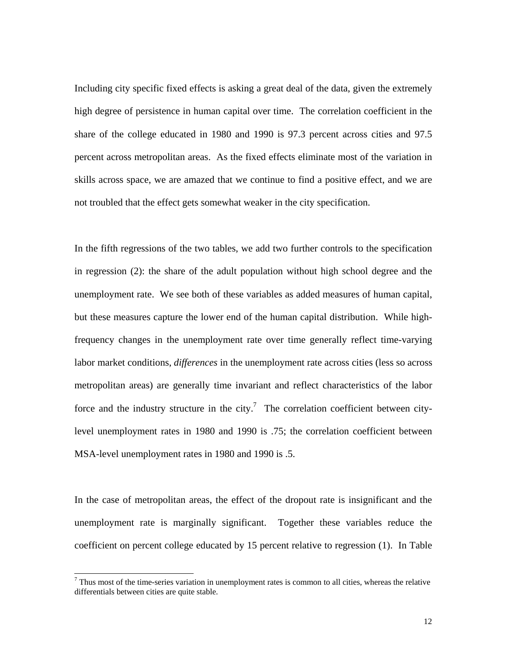Including city specific fixed effects is asking a great deal of the data, given the extremely high degree of persistence in human capital over time. The correlation coefficient in the share of the college educated in 1980 and 1990 is 97.3 percent across cities and 97.5 percent across metropolitan areas. As the fixed effects eliminate most of the variation in skills across space, we are amazed that we continue to find a positive effect, and we are not troubled that the effect gets somewhat weaker in the city specification.

In the fifth regressions of the two tables, we add two further controls to the specification in regression (2): the share of the adult population without high school degree and the unemployment rate. We see both of these variables as added measures of human capital, but these measures capture the lower end of the human capital distribution. While highfrequency changes in the unemployment rate over time generally reflect time-varying labor market conditions, *differences* in the unemployment rate across cities (less so across metropolitan areas) are generally time invariant and reflect characteristics of the labor force and the industry structure in the city.<sup>[7](#page-12-0)</sup> The correlation coefficient between citylevel unemployment rates in 1980 and 1990 is .75; the correlation coefficient between MSA-level unemployment rates in 1980 and 1990 is .5.

In the case of metropolitan areas, the effect of the dropout rate is insignificant and the unemployment rate is marginally significant. Together these variables reduce the coefficient on percent college educated by 15 percent relative to regression (1). In Table

<span id="page-12-0"></span><sup>-&</sup>lt;br>7  $\frac{7}{1}$  Thus most of the time-series variation in unemployment rates is common to all cities, whereas the relative differentials between cities are quite stable.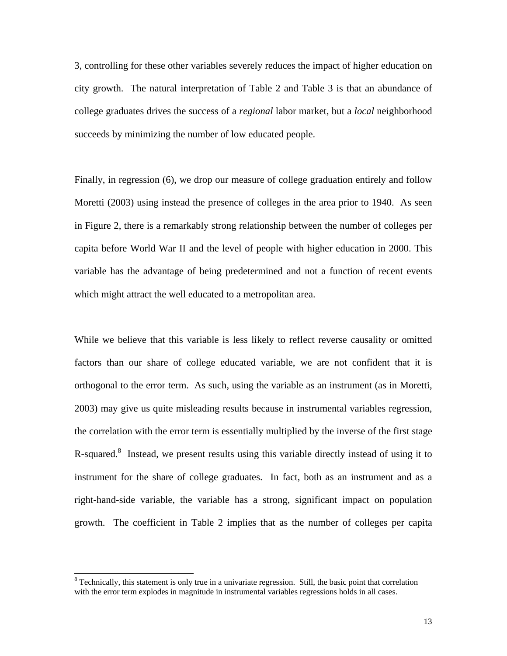3, controlling for these other variables severely reduces the impact of higher education on city growth. The natural interpretation of Table 2 and Table 3 is that an abundance of college graduates drives the success of a *regional* labor market, but a *local* neighborhood succeeds by minimizing the number of low educated people.

Finally, in regression (6), we drop our measure of college graduation entirely and follow Moretti (2003) using instead the presence of colleges in the area prior to 1940. As seen in Figure 2, there is a remarkably strong relationship between the number of colleges per capita before World War II and the level of people with higher education in 2000. This variable has the advantage of being predetermined and not a function of recent events which might attract the well educated to a metropolitan area.

While we believe that this variable is less likely to reflect reverse causality or omitted factors than our share of college educated variable, we are not confident that it is orthogonal to the error term. As such, using the variable as an instrument (as in Moretti, 2003) may give us quite misleading results because in instrumental variables regression, the correlation with the error term is essentially multiplied by the inverse of the first stage R-squared.<sup>[8](#page-13-0)</sup> Instead, we present results using this variable directly instead of using it to instrument for the share of college graduates. In fact, both as an instrument and as a right-hand-side variable, the variable has a strong, significant impact on population growth. The coefficient in Table 2 implies that as the number of colleges per capita

<span id="page-13-0"></span> <sup>8</sup>  $8$  Technically, this statement is only true in a univariate regression. Still, the basic point that correlation with the error term explodes in magnitude in instrumental variables regressions holds in all cases.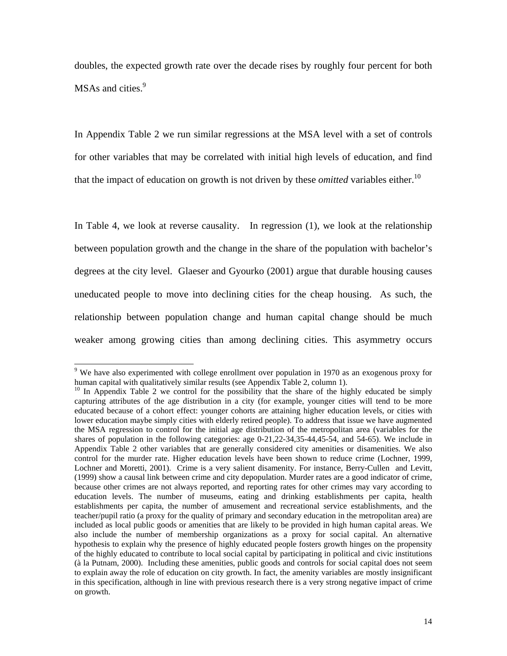doubles, the expected growth rate over the decade rises by roughly four percent for both MSAs and cities.<sup>[9](#page-14-0)</sup>

In Appendix Table 2 we run similar regressions at the MSA level with a set of controls for other variables that may be correlated with initial high levels of education, and find that the impact of education on growth is not driven by these *omitted* variables either. [10](#page-14-1) 

In Table 4, we look at reverse causality. In regression (1), we look at the relationship between population growth and the change in the share of the population with bachelor's degrees at the city level. Glaeser and Gyourko (2001) argue that durable housing causes uneducated people to move into declining cities for the cheap housing. As such, the relationship between population change and human capital change should be much weaker among growing cities than among declining cities. This asymmetry occurs

<span id="page-14-0"></span><sup>&</sup>lt;sup>9</sup> We have also experimented with college enrollment over population in 1970 as an exogenous proxy for human capital with qualitatively similar results (see Appendix Table 2, column 1).<br><sup>10</sup> In Appendix Table 2 we control for the possibility that the share of the highly educated be simply

<span id="page-14-1"></span>capturing attributes of the age distribution in a city (for example, younger cities will tend to be more educated because of a cohort effect: younger cohorts are attaining higher education levels, or cities with lower education maybe simply cities with elderly retired people). To address that issue we have augmented the MSA regression to control for the initial age distribution of the metropolitan area (variables for the shares of population in the following categories: age 0-21,22-34,35-44,45-54, and 54-65). We include in Appendix Table 2 other variables that are generally considered city amenities or disamenities. We also control for the murder rate. Higher education levels have been shown to reduce crime (Lochner, 1999, Lochner and Moretti, 2001). Crime is a very salient disamenity. For instance, Berry-Cullen and Levitt, (1999) show a causal link between crime and city depopulation. Murder rates are a good indicator of crime, because other crimes are not always reported, and reporting rates for other crimes may vary according to education levels. The number of museums, eating and drinking establishments per capita, health establishments per capita, the number of amusement and recreational service establishments, and the teacher/pupil ratio (a proxy for the quality of primary and secondary education in the metropolitan area) are included as local public goods or amenities that are likely to be provided in high human capital areas. We also include the number of membership organizations as a proxy for social capital. An alternative hypothesis to explain why the presence of highly educated people fosters growth hinges on the propensity of the highly educated to contribute to local social capital by participating in political and civic institutions (à la Putnam, 2000). Including these amenities, public goods and controls for social capital does not seem to explain away the role of education on city growth. In fact, the amenity variables are mostly insignificant in this specification, although in line with previous research there is a very strong negative impact of crime on growth.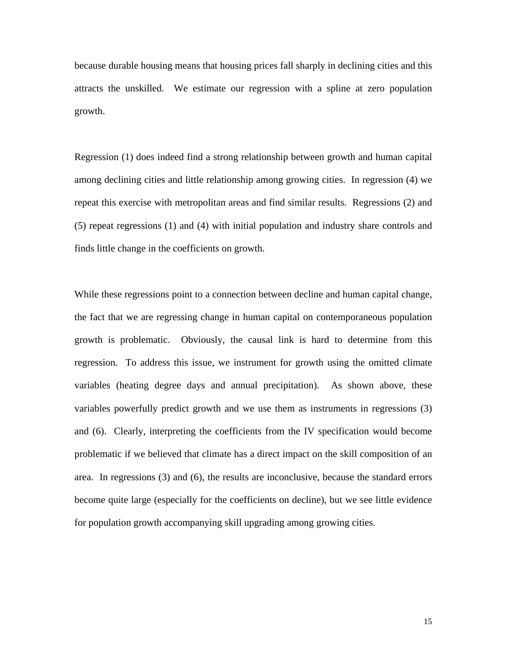because durable housing means that housing prices fall sharply in declining cities and this attracts the unskilled. We estimate our regression with a spline at zero population growth.

Regression (1) does indeed find a strong relationship between growth and human capital among declining cities and little relationship among growing cities. In regression (4) we repeat this exercise with metropolitan areas and find similar results. Regressions (2) and (5) repeat regressions (1) and (4) with initial population and industry share controls and finds little change in the coefficients on growth.

While these regressions point to a connection between decline and human capital change, the fact that we are regressing change in human capital on contemporaneous population growth is problematic. Obviously, the causal link is hard to determine from this regression. To address this issue, we instrument for growth using the omitted climate variables (heating degree days and annual precipitation). As shown above, these variables powerfully predict growth and we use them as instruments in regressions (3) and (6). Clearly, interpreting the coefficients from the IV specification would become problematic if we believed that climate has a direct impact on the skill composition of an area. In regressions (3) and (6), the results are inconclusive, because the standard errors become quite large (especially for the coefficients on decline), but we see little evidence for population growth accompanying skill upgrading among growing cities.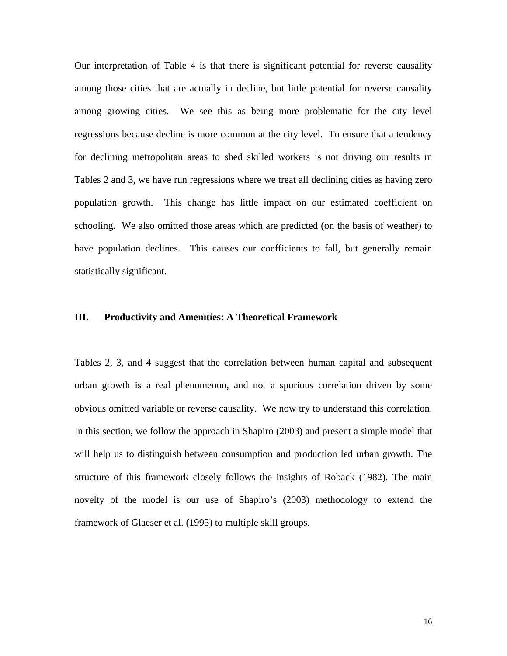Our interpretation of Table 4 is that there is significant potential for reverse causality among those cities that are actually in decline, but little potential for reverse causality among growing cities. We see this as being more problematic for the city level regressions because decline is more common at the city level. To ensure that a tendency for declining metropolitan areas to shed skilled workers is not driving our results in Tables 2 and 3, we have run regressions where we treat all declining cities as having zero population growth. This change has little impact on our estimated coefficient on schooling. We also omitted those areas which are predicted (on the basis of weather) to have population declines. This causes our coefficients to fall, but generally remain statistically significant.

### **III. Productivity and Amenities: A Theoretical Framework**

Tables 2, 3, and 4 suggest that the correlation between human capital and subsequent urban growth is a real phenomenon, and not a spurious correlation driven by some obvious omitted variable or reverse causality. We now try to understand this correlation. In this section, we follow the approach in Shapiro (2003) and present a simple model that will help us to distinguish between consumption and production led urban growth. The structure of this framework closely follows the insights of Roback (1982). The main novelty of the model is our use of Shapiro's (2003) methodology to extend the framework of Glaeser et al. (1995) to multiple skill groups.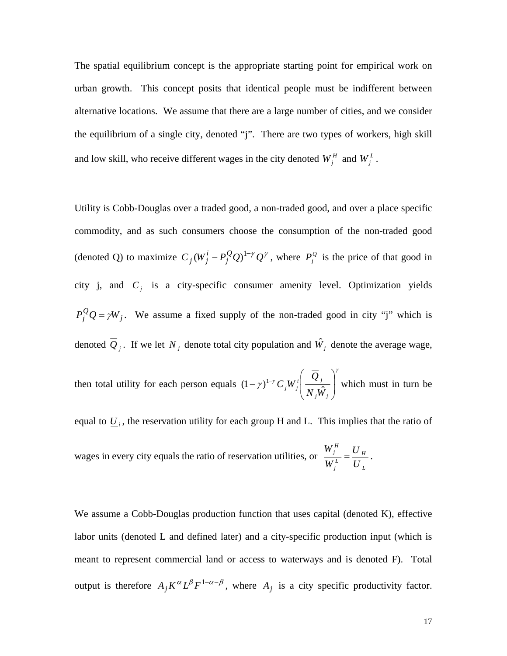The spatial equilibrium concept is the appropriate starting point for empirical work on urban growth. This concept posits that identical people must be indifferent between alternative locations. We assume that there are a large number of cities, and we consider the equilibrium of a single city, denoted "j". There are two types of workers, high skill and low skill, who receive different wages in the city denoted  $W_j^H$  and  $W_j^L$ .

Utility is Cobb-Douglas over a traded good, a non-traded good, and over a place specific commodity, and as such consumers choose the consumption of the non-traded good (denoted Q) to maximize  $C_j (W_j^i - P_j^Q Q)^{1-\gamma} Q^{\gamma}$ , where  $P_j^Q$  is the price of that good in city j, and  $C_j$  is a city-specific consumer amenity level. Optimization yields  $P_j^Q Q = \gamma W_j$ . We assume a fixed supply of the non-traded good in city "j" which is denoted  $\overline{Q}_j$ . If we let  $N_j$  denote total city population and  $\hat{W}_j$  denote the average wage,  $j(W_j^i - P_j^Q Q)^{1-\gamma} Q^{\gamma}$ , where  $P_j^Q$ 

then total utility for each person equals γ  $(\gamma)^{1-\gamma} C_j W_j^i \frac{Q_j}{N \sqrt{\hat{W}_j}}$ ⎠ ⎞  $\overline{a}$  $\overline{a}$ ⎝  $(-\gamma)^{1-\gamma} C_i W_i^i$ *j j j i*  $(1-\gamma)^{1-\gamma} C_j W_j^i \left(\frac{Q_j}{N_j \hat{W}_i}\right)^i$  which must in turn be

equal to  $\underline{U}_i$ , the reservation utility for each group H and L. This implies that the ratio of

wages in every city equals the ratio of reservation utilities, or *L H L j H j U U W*  $\frac{W_j^H}{\frac{1}{2}W_j^H} = \frac{U_H}{2}$ .

We assume a Cobb-Douglas production function that uses capital (denoted K), effective labor units (denoted L and defined later) and a city-specific production input (which is meant to represent commercial land or access to waterways and is denoted F). Total output is therefore  $A_j K^\alpha L^\beta F^{1-\alpha-\beta}$ , where  $A_j$  is a city specific productivity factor.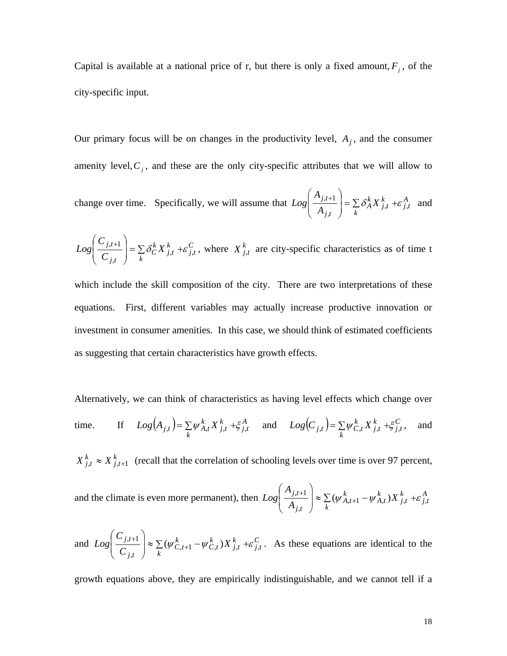Capital is available at a national price of r, but there is only a fixed amount,  $F_j$ , of the city-specific input.

Our primary focus will be on changes in the productivity level,  $A_j$ , and the consumer amenity level,  $C_j$ , and these are the only city-specific attributes that we will allow to *A* ⎞

change over time. Specifically, we will assume that  $Log \left| \frac{A_{j,t+1}}{A}\right| = \sum \delta_A^k X_{i,t}^k + \varepsilon_i^A$  $\sum_{k}$ *O*<sub>A</sub> $\Lambda$ <sub>*j*,*t*</sub> +*E*<sub>*j*,*t*</sup></sub> *k j t k A j t*  $\left| \frac{j,t+1}{2} \right| = \sum \delta_A^k X$ *A*  $\left[Log\left(-\frac{f,t+1}{A}\right)\right]=\sum \delta_A^K X_{j,t}^k + \varepsilon_{j,t}^A$  $\left(\begin{matrix} t+1 \\ j,t \end{matrix}\right) = \sum_{k} \delta_{A}^{k} X_{j,t}^{k} + \varepsilon$ ⎠  $\overline{ }$  $\mathsf I$ ⎝  $\left(\frac{A_{j,t+1}}{A}\right) = \sum \delta_A^k X_{j,t}^k + \varepsilon_{j,t}^A$  and

$$
Log\left(\frac{C_{j,t+1}}{C_{j,t}}\right) = \sum_{k} \delta_C^k X_{j,t}^k + \varepsilon_{j,t}^C
$$
, where  $X_{j,t}^k$  are city-specific characteristics as of time t

which include the skill composition of the city. There are two interpretations of these equations. First, different variables may actually increase productive innovation or investment in consumer amenities. In this case, we should think of estimated coefficients as suggesting that certain characteristics have growth effects.

Alternatively, we can think of characteristics as having level effects which change over time. If  $Log(A_{j,t}) = \sum \psi_{A,t}^k X_{j,t}^k + \xi_{j,t}^A$  and *k k*  $Log(A_{j,t}) = \sum \psi_{A,t}^{k} X_{j,t}^{k} + \xi_{j,t}^{A}$  and  $Log(C_{j,t}) = \sum \psi_{C,t}^{k} X_{j,t}^{k} + \xi_{j,t}^{C}$ *k k*  $Log(C_{j,t}) = \sum \psi_{C,t}^{k} X_{j,t}^{k} + \xi_{j,t}^{C}$ , and

 $k_{i,t+1}^{k}$  (recall that the correlation of schooling levels over time is over 97 percent,  $X_{j,t}^k \approx X_{j,t+1}^k$ 

and the climate is even more permanent), then  $Log\left[\frac{\Delta_{j,t+1}}{A}\right] \approx \sum_{k} (\psi_{A,t+1}^{k} - \psi_{A,t}^{k}) X_{i,t}^{k} + \varepsilon_{i,t}^{A}$  $\frac{\partial}{\partial t}(\psi_{A,t+1} - \psi_{A,t}) \Delta_{j,t} + \varepsilon_{j,t}$ *k j t k A t k A t j t*  $\frac{j,t+1}{\cdot} \leq \sum_{k} (\psi_{A,t+1}^k - \psi_{A,t}^k) X$ *A A*  $Log\left|\frac{J,t+1}{A}\right| \approx \sum_{k}(\psi_{A,t+1}^{k} - \psi_{A,t}^{k})X_{j,t}^{k} + \varepsilon_{j,t}^{A}$  $\left(\frac{t+1}{j,t}\right) \approx \sum_{k} (\psi_{A,t+1}^k - \psi_{A,t}^k) X_{j,t}^k + \varepsilon$ ⎠ ⎞  $\overline{a}$  $\overline{a}$ ⎝  $\big($ + +

and  $Log\left(\frac{C_{j,t+1}}{C_{j,t}}\right) \approx \sum_{k} (\psi_{C,t+1}^k - \psi_{C,t}^k) X_{j,t}^k + \varepsilon_{j,t}^C$ *k j t k C t k C t j t*  $\left| \sum_{t=1}^{j,t+1} \right| \approx \sum_{k=1}^{j} (\psi_{C,t+1}^k - \psi_{C,t}^k) X$ *C C*  $Log\left[\frac{J,t+1}{C}\right] \approx \sum (\psi_{C,t+1}^k - \psi_{C,t}^k) X_{j,t}^k + \varepsilon_{j,t}^C$  $\left(\frac{t+1}{j,t}\right) \approx \sum_{k} (\psi_{C,t+1}^k - \psi_{C,t}^k) X_{j,t}^k + \varepsilon$ ⎠ ⎞  $\overline{ }$  $\overline{a}$ ⎝  $\big($  $+\frac{1}{2}$   $\approx \sum (\psi_{C,t+1}^k - \psi_{C,t}^k) X_{j,t}^k + \varepsilon_{j,t}^C$ . As these equations are identical to the

growth equations above, they are empirically indistinguishable, and we cannot tell if a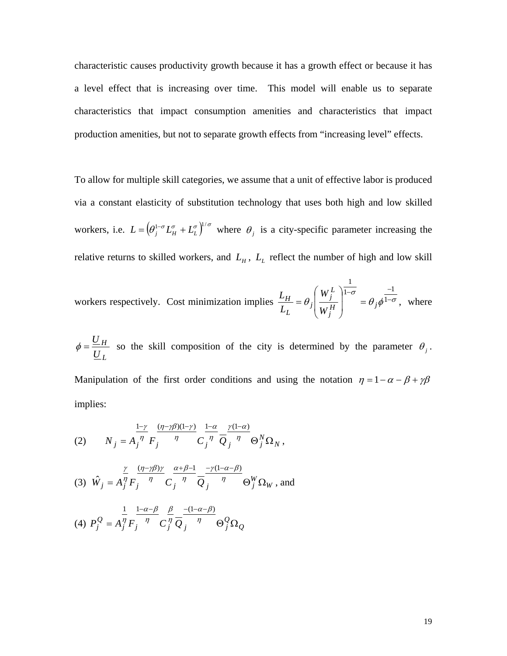characteristic causes productivity growth because it has a growth effect or because it has a level effect that is increasing over time. This model will enable us to separate characteristics that impact consumption amenities and characteristics that impact production amenities, but not to separate growth effects from "increasing level" effects.

To allow for multiple skill categories, we assume that a unit of effective labor is produced via a constant elasticity of substitution technology that uses both high and low skilled workers, i.e.  $L = (\theta_j^{1-\sigma} L_H^{\sigma} + L_L^{\sigma})^{1/\sigma}$  where  $\theta_j$  is a city-specific parameter increasing the relative returns to skilled workers, and  $L_H$ ,  $L_L$  reflect the number of high and low skill

works respectively. Cost minimization implies 
$$
\frac{L_H}{L_L} = \theta_j \left( \frac{W_j^L}{W_j^H} \right)^{\frac{1}{1-\sigma}} = \theta_j \phi^{\frac{-1}{1-\sigma}},
$$
 where

*L H*  $\phi = \frac{U_H}{U_L}$  so the skill composition of the city is determined by the parameter  $\theta_j$ .

Manipulation of the first order conditions and using the notation  $\eta = 1 - \alpha - \beta + \gamma \beta$ implies:

(2) 
$$
N_j = A_j^{\frac{1-\gamma}{\eta}} F_j^{\frac{(\eta-\gamma\beta)(1-\gamma)}{\eta}} C_j^{\frac{1-\alpha}{\eta}} \frac{\gamma(1-\alpha)}{Q_j^{\eta}} \Theta_j^N \Omega_N,
$$

(3) 
$$
\hat{W}_j = A_j^{\frac{\gamma}{\eta}} F_j^{\frac{(\eta - \gamma \beta)\gamma}{\eta}} C_j^{\frac{\alpha + \beta - 1}{\eta}} \frac{-\gamma (1 - \alpha - \beta)}{\alpha} \Theta_j^W \Omega_W
$$
, and

$$
(4) \ P_j^Q = A_j^{\frac{1}{\eta}} F_j^{\frac{1-\alpha-\beta}{\eta}} C_j^{\frac{\beta}{\eta}} \overline{Q}_j^{\frac{-(1-\alpha-\beta)}{\eta}} \Theta_j^Q \Omega_Q
$$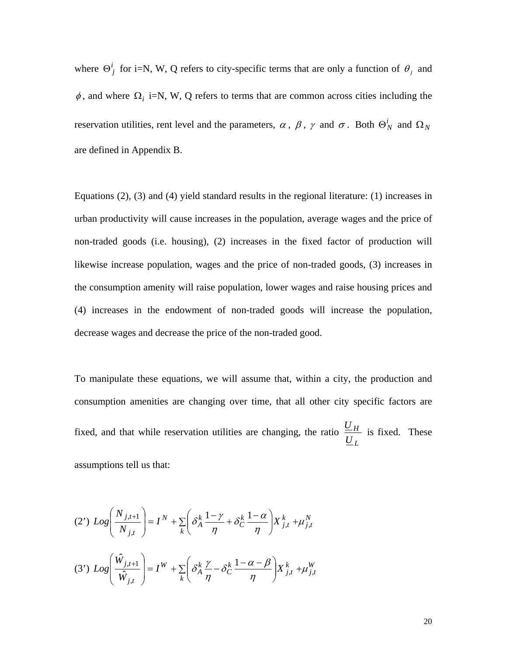where  $\Theta_j^i$  for i=N, W, Q refers to city-specific terms that are only a function of  $\Theta_j$  and  $\phi$ , and where  $\Omega_i$  i=N, W, Q refers to terms that are common across cities including the reservation utilities, rent level and the parameters,  $\alpha$ ,  $\beta$ ,  $\gamma$  and  $\sigma$ . Both  $\Theta_N^i$  and  $\Omega_N$ are defined in Appendix B.

Equations (2), (3) and (4) yield standard results in the regional literature: (1) increases in urban productivity will cause increases in the population, average wages and the price of non-traded goods (i.e. housing), (2) increases in the fixed factor of production will likewise increase population, wages and the price of non-traded goods, (3) increases in the consumption amenity will raise population, lower wages and raise housing prices and (4) increases in the endowment of non-traded goods will increase the population, decrease wages and decrease the price of the non-traded good.

To manipulate these equations, we will assume that, within a city, the production and consumption amenities are changing over time, that all other city specific factors are fixed, and that while reservation utilities are changing, the ratio *L H U U* is fixed. These assumptions tell us that:

(2') 
$$
Log\left(\frac{N_{j,t+1}}{N_{j,t}}\right) = I^N + \sum_k \left(\delta_A^k \frac{1-\gamma}{\eta} + \delta_C^k \frac{1-\alpha}{\eta}\right) X_{j,t}^k + \mu_{j,t}^N
$$
  
(3')  $Log\left(\frac{\hat{W}_{j,t+1}}{\hat{W}_{j,t}}\right) = I^W + \sum_k \left(\delta_A^k \frac{\gamma}{\eta} - \delta_C^k \frac{1-\alpha-\beta}{\eta}\right) X_{j,t}^k + \mu_{j,t}^W$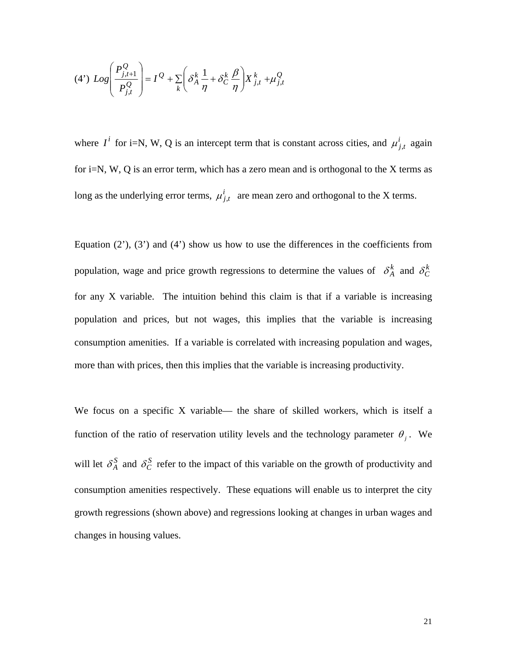(4') 
$$
Log\left(\frac{P_{j,t+1}^Q}{P_{j,t}^Q}\right) = I^Q + \sum_{k} \left(\delta_A^k \frac{1}{\eta} + \delta_C^k \frac{\beta}{\eta}\right) X_{j,t}^k + \mu_{j,t}^Q
$$

where  $I^i$  for i=N, W, Q is an intercept term that is constant across cities, and  $\mu^i_{j,t}$  again for  $i=N$ , W, Q is an error term, which has a zero mean and is orthogonal to the X terms as long as the underlying error terms,  $\mu_{j,t}^{i}$  are mean zero and orthogonal to the X terms.

Equation  $(2^{\prime})$ ,  $(3^{\prime})$  and  $(4^{\prime})$  show us how to use the differences in the coefficients from population, wage and price growth regressions to determine the values of  $\delta_A^k$  and  $\delta_C^k$ for any X variable. The intuition behind this claim is that if a variable is increasing population and prices, but not wages, this implies that the variable is increasing consumption amenities. If a variable is correlated with increasing population and wages, more than with prices, then this implies that the variable is increasing productivity.

We focus on a specific X variable— the share of skilled workers, which is itself a function of the ratio of reservation utility levels and the technology parameter  $\theta_i$ . We will let  $\delta_A^S$  and  $\delta_C^S$  refer to the impact of this variable on the growth of productivity and consumption amenities respectively. These equations will enable us to interpret the city growth regressions (shown above) and regressions looking at changes in urban wages and changes in housing values.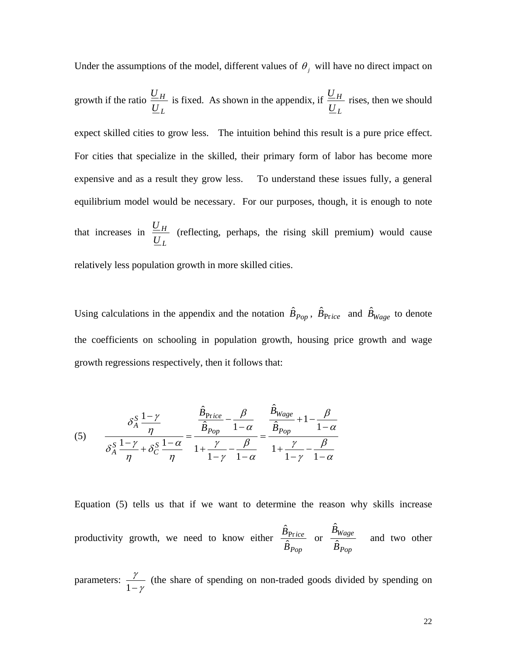Under the assumptions of the model, different values of  $\theta_j$  will have no direct impact on

growth if the ratio 
$$
\frac{U_H}{U_L}
$$
 is fixed. As shown in the appendix, if  $\frac{U_H}{U_L}$  rises, then we should

expect skilled cities to grow less. The intuition behind this result is a pure price effect. For cities that specialize in the skilled, their primary form of labor has become more expensive and as a result they grow less. To understand these issues fully, a general equilibrium model would be necessary. For our purposes, though, it is enough to note that increases in *L H U U* (reflecting, perhaps, the rising skill premium) would cause relatively less population growth in more skilled cities.

Using calculations in the appendix and the notation  $\hat{B}_{Pop}$ ,  $\hat{B}_{Price}$  and  $\hat{B}_{Wage}$  to denote the coefficients on schooling in population growth, housing price growth and wage growth regressions respectively, then it follows that:

(5) 
$$
\frac{\delta_A^S \frac{1-\gamma}{\eta}}{\delta_A^S \frac{1-\gamma}{\eta} + \delta_C^S \frac{1-\alpha}{\eta}} = \frac{\frac{\hat{B}_{\text{Price}}}{\hat{B}_{\text{Pop}}}-\frac{\beta}{1-\alpha}}{1+\frac{\gamma}{1-\gamma}-\frac{\beta}{1-\alpha}} = \frac{\frac{\hat{B}_{\text{Wage}}}{\hat{B}_{\text{Pop}}}+1-\frac{\beta}{1-\alpha}}{1+\frac{\gamma}{1-\gamma}-\frac{\beta}{1-\alpha}}
$$

Equation (5) tells us that if we want to determine the reason why skills increase productivity growth, we need to know either *Pop ice B B* ˆ ˆ  $\frac{\text{Price}}{\text{C}}$  or *Pop Wage B B* ˆ ˆ and two other

parameters: γ  $\frac{\gamma}{1-\gamma}$  (the share of spending on non-traded goods divided by spending on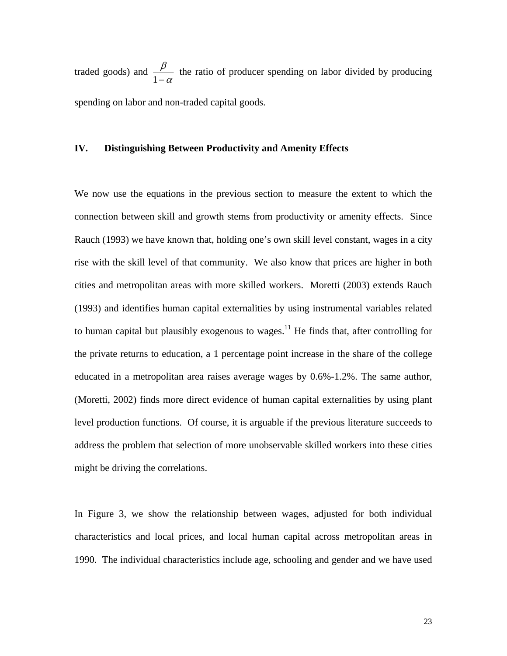traded goods) and  $\frac{P}{1-\alpha}$  $\frac{\beta}{1-\alpha}$  the ratio of producer spending on labor divided by producing spending on labor and non-traded capital goods.

## **IV. Distinguishing Between Productivity and Amenity Effects**

We now use the equations in the previous section to measure the extent to which the connection between skill and growth stems from productivity or amenity effects. Since Rauch (1993) we have known that, holding one's own skill level constant, wages in a city rise with the skill level of that community. We also know that prices are higher in both cities and metropolitan areas with more skilled workers. Moretti (2003) extends Rauch (1993) and identifies human capital externalities by using instrumental variables related to human capital but plausibly exogenous to wages.<sup>11</sup> He finds that, after controlling for the private returns to education, a 1 percentage point increase in the share of the college educated in a metropolitan area raises average wages by 0.6%-1.2%. The same author, (Moretti, 2002) finds more direct evidence of human capital externalities by using plant level production functions. Of course, it is arguable if the previous literature succeeds to address the problem that selection of more unobservable skilled workers into these cities might be driving the correlations.

<span id="page-23-0"></span>In Figure 3, we show the relationship between wages, adjusted for both individual characteristics and local prices, and local human capital across metropolitan areas in 1990. The individual characteristics include age, schooling and gender and we have used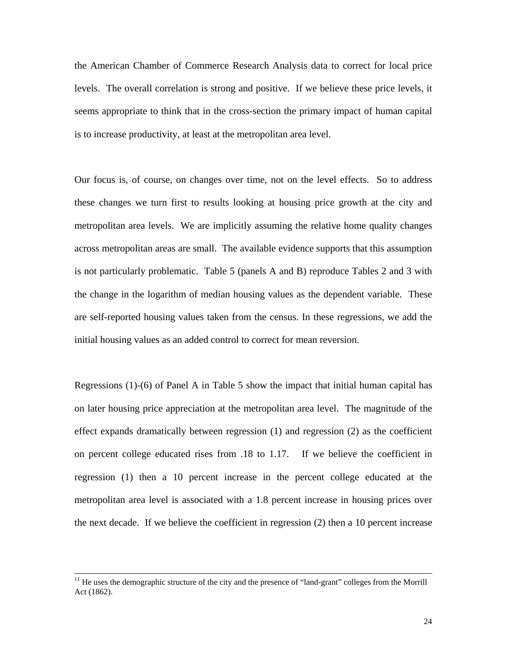the American Chamber of Commerce Research Analysis data to correct for local price levels. The overall correlation is strong and positive. If we believe these price levels, it seems appropriate to think that in the cross-section the primary impact of human capital is to increase productivity, at least at the metropolitan area level.

Our focus is, of course, on changes over time, not on the level effects. So to address these changes we turn first to results looking at housing price growth at the city and metropolitan area levels. We are implicitly assuming the relative home quality changes across metropolitan areas are small. The available evidence supports that this assumption is not particularly problematic. Table 5 (panels A and B) reproduce Tables 2 and 3 with the change in the logarithm of median housing values as the dependent variable. These are self-reported housing values taken from the census. In these regressions, we add the initial housing values as an added control to correct for mean reversion.

Regressions (1)-(6) of Panel A in Table 5 show the impact that initial human capital has on later housing price appreciation at the metropolitan area level. The magnitude of the effect expands dramatically between regression (1) and regression (2) as the coefficient on percent college educated rises from .18 to 1.17. If we believe the coefficient in regression (1) then a 10 percent increase in the percent college educated at the metropolitan area level is associated with a 1.8 percent increase in housing prices over the next decade. If we believe the coefficient in regression (2) then a 10 percent increase

<sup>&</sup>lt;sup>11</sup> He uses the demographic structure of the city and the presence of "land-grant" colleges from the Morrill Act (1862).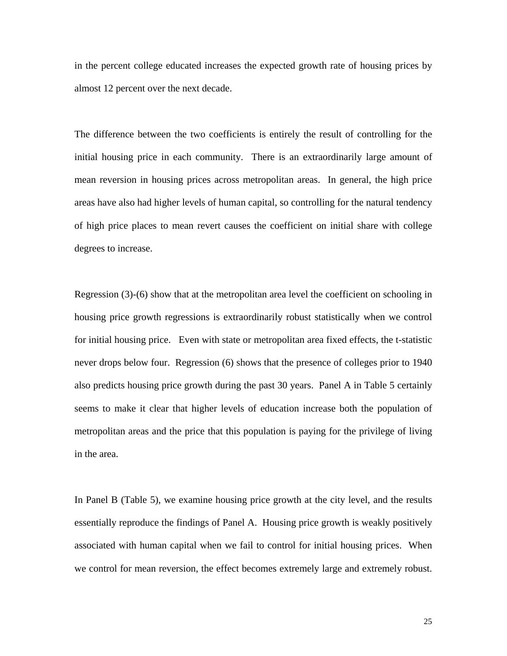in the percent college educated increases the expected growth rate of housing prices by almost 12 percent over the next decade.

The difference between the two coefficients is entirely the result of controlling for the initial housing price in each community. There is an extraordinarily large amount of mean reversion in housing prices across metropolitan areas. In general, the high price areas have also had higher levels of human capital, so controlling for the natural tendency of high price places to mean revert causes the coefficient on initial share with college degrees to increase.

Regression (3)-(6) show that at the metropolitan area level the coefficient on schooling in housing price growth regressions is extraordinarily robust statistically when we control for initial housing price. Even with state or metropolitan area fixed effects, the t-statistic never drops below four. Regression (6) shows that the presence of colleges prior to 1940 also predicts housing price growth during the past 30 years. Panel A in Table 5 certainly seems to make it clear that higher levels of education increase both the population of metropolitan areas and the price that this population is paying for the privilege of living in the area.

In Panel B (Table 5), we examine housing price growth at the city level, and the results essentially reproduce the findings of Panel A. Housing price growth is weakly positively associated with human capital when we fail to control for initial housing prices. When we control for mean reversion, the effect becomes extremely large and extremely robust.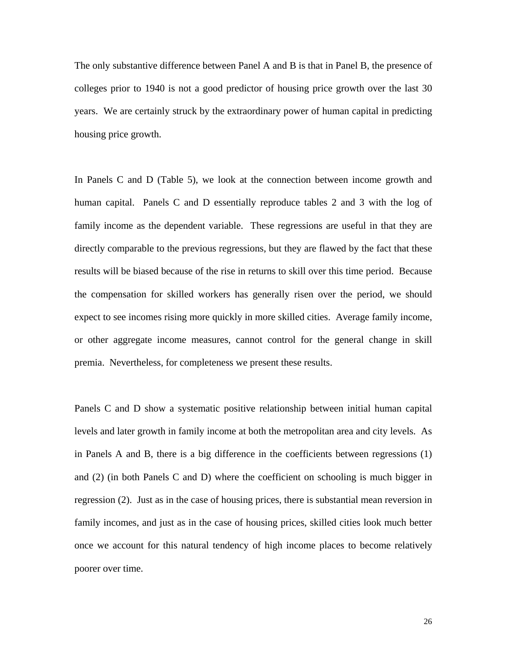The only substantive difference between Panel A and B is that in Panel B, the presence of colleges prior to 1940 is not a good predictor of housing price growth over the last 30 years. We are certainly struck by the extraordinary power of human capital in predicting housing price growth.

In Panels C and D (Table 5), we look at the connection between income growth and human capital. Panels C and D essentially reproduce tables 2 and 3 with the log of family income as the dependent variable. These regressions are useful in that they are directly comparable to the previous regressions, but they are flawed by the fact that these results will be biased because of the rise in returns to skill over this time period. Because the compensation for skilled workers has generally risen over the period, we should expect to see incomes rising more quickly in more skilled cities. Average family income, or other aggregate income measures, cannot control for the general change in skill premia. Nevertheless, for completeness we present these results.

Panels C and D show a systematic positive relationship between initial human capital levels and later growth in family income at both the metropolitan area and city levels. As in Panels A and B, there is a big difference in the coefficients between regressions (1) and (2) (in both Panels C and D) where the coefficient on schooling is much bigger in regression (2). Just as in the case of housing prices, there is substantial mean reversion in family incomes, and just as in the case of housing prices, skilled cities look much better once we account for this natural tendency of high income places to become relatively poorer over time.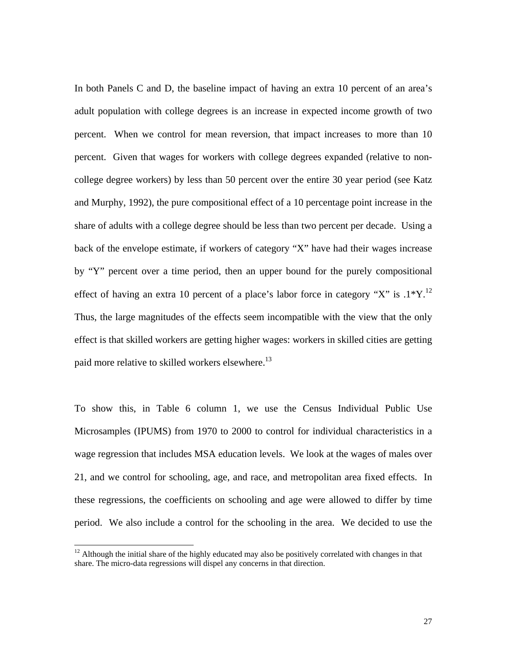In both Panels C and D, the baseline impact of having an extra 10 percent of an area's adult population with college degrees is an increase in expected income growth of two percent. When we control for mean reversion, that impact increases to more than 10 percent. Given that wages for workers with college degrees expanded (relative to noncollege degree workers) by less than 50 percent over the entire 30 year period (see Katz and Murphy, 1992), the pure compositional effect of a 10 percentage point increase in the share of adults with a college degree should be less than two percent per decade. Using a back of the envelope estimate, if workers of category "X" have had their wages increase by "Y" percent over a time period, then an upper bound for the purely compositional effect of having an extra 10 percent of a place's labor force in category "X" is  $.1*Y$ .<sup>12</sup> Thus, the large magnitudes of the effects seem incompatible with the view that the only effect is that skilled workers are getting higher wages: workers in skilled cities are getting paid more relative to skilled workers elsewhere.<sup>13</sup>

To show this, in Table 6 column 1, we use the Census Individual Public Use Microsamples (IPUMS) from 1970 to 2000 to control for individual characteristics in a wage regression that includes MSA education levels. We look at the wages of males over 21, and we control for schooling, age, and race, and metropolitan area fixed effects. In these regressions, the coefficients on schooling and age were allowed to differ by time period. We also include a control for the schooling in the area. We decided to use the

<span id="page-27-1"></span><span id="page-27-0"></span><sup>&</sup>lt;sup>12</sup> Although the initial share of the highly educated may also be positively correlated with changes in that share. The micro-data regressions will dispel any concerns in that direction.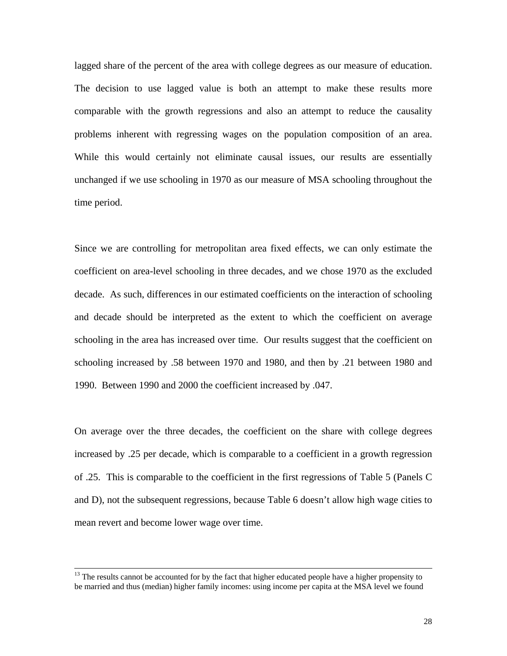lagged share of the percent of the area with college degrees as our measure of education. The decision to use lagged value is both an attempt to make these results more comparable with the growth regressions and also an attempt to reduce the causality problems inherent with regressing wages on the population composition of an area. While this would certainly not eliminate causal issues, our results are essentially unchanged if we use schooling in 1970 as our measure of MSA schooling throughout the time period.

Since we are controlling for metropolitan area fixed effects, we can only estimate the coefficient on area-level schooling in three decades, and we chose 1970 as the excluded decade. As such, differences in our estimated coefficients on the interaction of schooling and decade should be interpreted as the extent to which the coefficient on average schooling in the area has increased over time. Our results suggest that the coefficient on schooling increased by .58 between 1970 and 1980, and then by .21 between 1980 and 1990. Between 1990 and 2000 the coefficient increased by .047.

On average over the three decades, the coefficient on the share with college degrees increased by .25 per decade, which is comparable to a coefficient in a growth regression of .25. This is comparable to the coefficient in the first regressions of Table 5 (Panels C and D), not the subsequent regressions, because Table 6 doesn't allow high wage cities to mean revert and become lower wage over time.

<sup>&</sup>lt;sup>13</sup> The results cannot be accounted for by the fact that higher educated people have a higher propensity to be married and thus (median) higher family incomes: using income per capita at the MSA level we found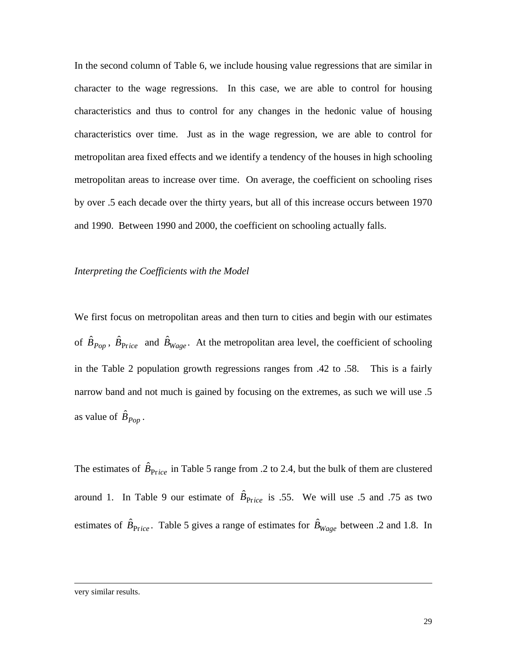In the second column of Table 6, we include housing value regressions that are similar in character to the wage regressions. In this case, we are able to control for housing characteristics and thus to control for any changes in the hedonic value of housing characteristics over time. Just as in the wage regression, we are able to control for metropolitan area fixed effects and we identify a tendency of the houses in high schooling metropolitan areas to increase over time. On average, the coefficient on schooling rises by over .5 each decade over the thirty years, but all of this increase occurs between 1970 and 1990. Between 1990 and 2000, the coefficient on schooling actually falls.

## *Interpreting the Coefficients with the Model*

We first focus on metropolitan areas and then turn to cities and begin with our estimates of  $\hat{B}_{Pop}$ ,  $\hat{B}_{Price}$  and  $\hat{B}_{Wage}$ . At the metropolitan area level, the coefficient of schooling in the Table 2 population growth regressions ranges from .42 to .58. This is a fairly narrow band and not much is gained by focusing on the extremes, as such we will use .5 as value of  $\hat{B}_{Pop}$ .

The estimates of  $\hat{B}_{\text{Price}}$  in Table 5 range from .2 to 2.4, but the bulk of them are clustered around 1. In Table 9 our estimate of  $\hat{B}_{\text{Price}}$  is .55. We will use .5 and .75 as two estimates of  $\hat{B}_{\text{Price}}$ . Table 5 gives a range of estimates for  $\hat{B}_{Wage}$  between .2 and 1.8. In

very similar results.

 $\overline{a}$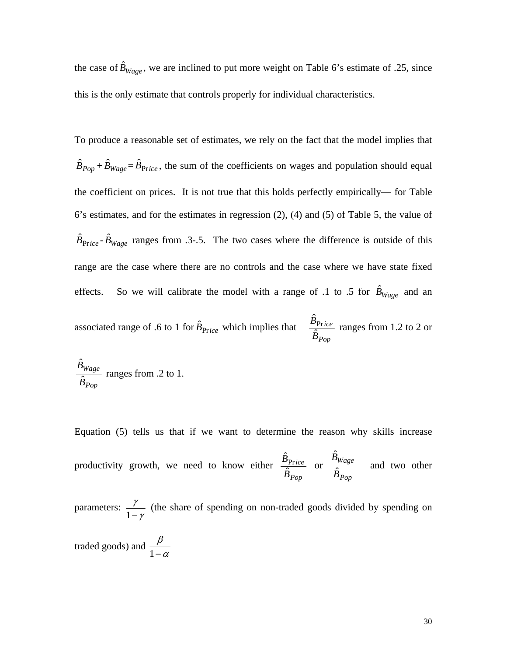the case of  $\hat{B}_{Wage}$ , we are inclined to put more weight on Table 6's estimate of .25, since this is the only estimate that controls properly for individual characteristics.

To produce a reasonable set of estimates, we rely on the fact that the model implies that  $\hat{B}_{Pop} + \hat{B}_{Wage} = \hat{B}_{\text{Price}}$ , the sum of the coefficients on wages and population should equal the coefficient on prices. It is not true that this holds perfectly empirically— for Table 6's estimates, and for the estimates in regression (2), (4) and (5) of Table 5, the value of  $\hat{B}_{\text{Price}}$  -  $\hat{B}_{\text{Wage}}$  ranges from .3-.5. The two cases where the difference is outside of this range are the case where there are no controls and the case where we have state fixed effects. So we will calibrate the model with a range of .1 to .5 for  $\hat{B}_{Wage}$  and an

associated range of .6 to 1 for  $\hat{B}_{\text{Price}}$  which implies that *Pop ice B B* ˆ ˆ  $\frac{\text{Price}}{\text{range}}$  ranges from 1.2 to 2 or

*Pop Wage B B* ˆ ˆ ranges from .2 to 1.

Equation (5) tells us that if we want to determine the reason why skills increase productivity growth, we need to know either *Pop ice B B* ˆ ˆ  $\frac{\text{Price}}{\text{C}}$  or *Pop Wage B B* ˆ ˆ and two other

parameters: γ  $\frac{\gamma}{1-\gamma}$  (the share of spending on non-traded goods divided by spending on

traded goods) and  $\frac{P}{1-\alpha}$ β 1−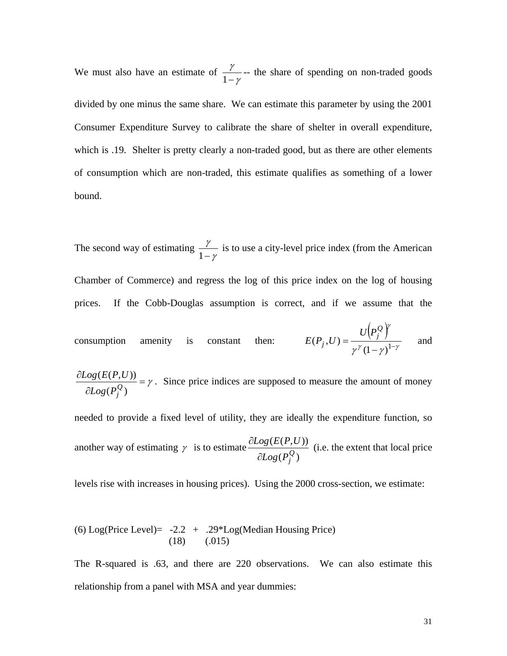We must also have an estimate of γ  $\frac{\gamma}{1-\gamma}$  -- the share of spending on non-traded goods

divided by one minus the same share. We can estimate this parameter by using the 2001 Consumer Expenditure Survey to calibrate the share of shelter in overall expenditure, which is .19. Shelter is pretty clearly a non-traded good, but as there are other elements of consumption which are non-traded, this estimate qualifies as something of a lower bound.

The second way of estimating γ  $\frac{\gamma}{1-\gamma}$  is to use a city-level price index (from the American Chamber of Commerce) and regress the log of this price index on the log of housing prices. If the Cobb-Douglas assumption is correct, and if we assume that the

consumption amenty is constant then: 
$$
E(P_j, U) = \frac{U(P_j^Q)^\gamma}{\gamma^\gamma (1-\gamma)^{1-\gamma}}
$$
 and

 $=$   $\gamma$ ∂ ∂  $(P_i^{\mathcal{Q}})$  $(E(P, U))$  $Log(P_j^{\mathcal{Q}})$  $\frac{Log(E(P, U))}{Q} = \gamma$ . Since price indices are supposed to measure the amount of money

needed to provide a fixed level of utility, they are ideally the expenditure function, so another way of estimating  $\gamma$  is to estimate  $(P_i^{\mathcal{Q}})$  $(E(P, U))$  $Log(P_j^{\mathcal{Q}})$  $Log(E(P, U))$ ∂  $\frac{\partial Log(E(P,U))}{\partial U}$  (i.e. the extent that local price

levels rise with increases in housing prices). Using the 2000 cross-section, we estimate:

(6) Log(Price Level) = 
$$
-2.2 + .29*Log(Median Housing Price)
$$
  
(18) (0.015)

The R-squared is .63, and there are 220 observations. We can also estimate this relationship from a panel with MSA and year dummies: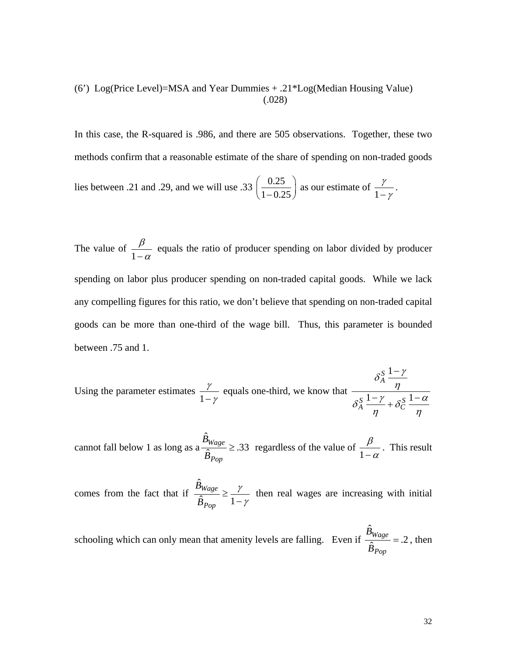## (6') Log(Price Level)=MSA and Year Dummies + .21\*Log(Median Housing Value) (.028)

In this case, the R-squared is .986, and there are 505 observations. Together, these two methods confirm that a reasonable estimate of the share of spending on non-traded goods lies between .21 and .29, and we will use .33  $\left(\frac{0.25}{\sqrt{25}}\right)$  $1 - 0.25$  $\big($  $\left(\overline{1-0.25}\right)$ as our estimate of  $\frac{\gamma}{1-\gamma}$  $\frac{\gamma}{1-\gamma}$ .

The value of  $\frac{\rho}{1-\alpha}$  $\frac{\beta}{1-\alpha}$  equals the ratio of producer spending on labor divided by producer spending on labor plus producer spending on non-traded capital goods. While we lack any compelling figures for this ratio, we don't believe that spending on non-traded capital goods can be more than one-third of the wage bill. Thus, this parameter is bounded between .75 and 1.

Using the parameter estimates 
$$
\frac{\gamma}{1-\gamma}
$$
 equals one-third, we know that  $\frac{\delta_A^S}{\delta_A^S} \frac{1-\gamma}{\eta} + \delta_C^S \frac{1-\alpha}{\eta}$ 

cannot fall below 1 as long as  $a \frac{wage}{\hat{B}_{B}} \ge .33$ ˆ ≥ *Pop Wage B B* regardless of the value of  $\frac{P}{1-\alpha}$  $\frac{\beta}{1-\alpha}$ . This result

comes from the fact that if γ  $\frac{\partial Wage}{\partial P_{\rho_{on}}} \geq \frac{\gamma}{1-\gamma}$ ˆ *Pop Wage B B* then real wages are increasing with initial

schooling which can only mean that amenity levels are falling. Even if  $\frac{-w_{age}}{\hat{B}_R} = .2$ ˆ = *Pop Wage B B* , then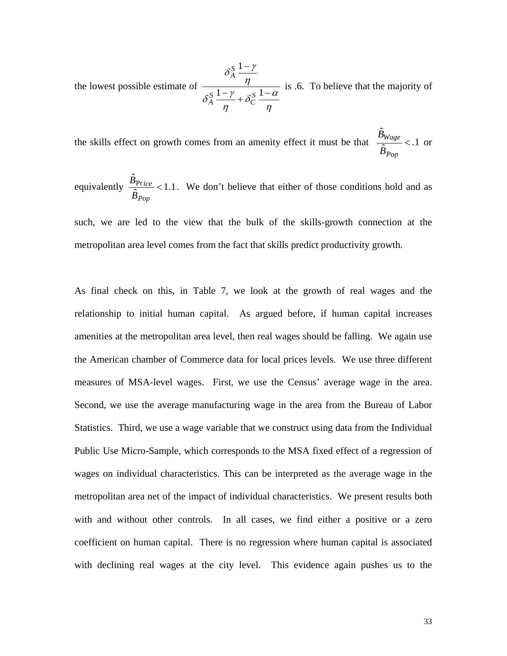the lowest possible estimate of η  $\delta_c^S \frac{1-\alpha}{\cdots}$ η  $\delta_4^S \frac{1-\gamma}{\gamma}$ η  $\delta_4^S \frac{1-\gamma}{\gamma}$  $-\gamma$  +  $\delta_C^S$   $\frac{1-\gamma}{\gamma}$ −  $1-\gamma$   $\circ$  s 1 1 *S C S A S A* is .6. To believe that the majority of

the skills effect on growth comes from an amenity effect it must be that  $\frac{w_{age}}{\hat{R}_R} < 0.1$  $\hat{\mathsf{B}}$  $\lt$ *Pop Wage B B* or

equivalently  $\frac{B_{\text{Price}}}{\hat{B}_R} < 1.1$ ˆ  $\frac{\text{Price}}{\text{True}}$ *Pop ice B*  $\frac{\hat{B}_{\text{Price}}}{\hat{B}}$  < 1.1. We don't believe that either of those conditions hold and as

such, we are led to the view that the bulk of the skills-growth connection at the metropolitan area level comes from the fact that skills predict productivity growth.

As final check on this, in Table 7, we look at the growth of real wages and the relationship to initial human capital. As argued before, if human capital increases amenities at the metropolitan area level, then real wages should be falling. We again use the American chamber of Commerce data for local prices levels. We use three different measures of MSA-level wages. First, we use the Census' average wage in the area. Second, we use the average manufacturing wage in the area from the Bureau of Labor Statistics. Third, we use a wage variable that we construct using data from the Individual Public Use Micro-Sample, which corresponds to the MSA fixed effect of a regression of wages on individual characteristics. This can be interpreted as the average wage in the metropolitan area net of the impact of individual characteristics. We present results both with and without other controls. In all cases, we find either a positive or a zero coefficient on human capital. There is no regression where human capital is associated with declining real wages at the city level. This evidence again pushes us to the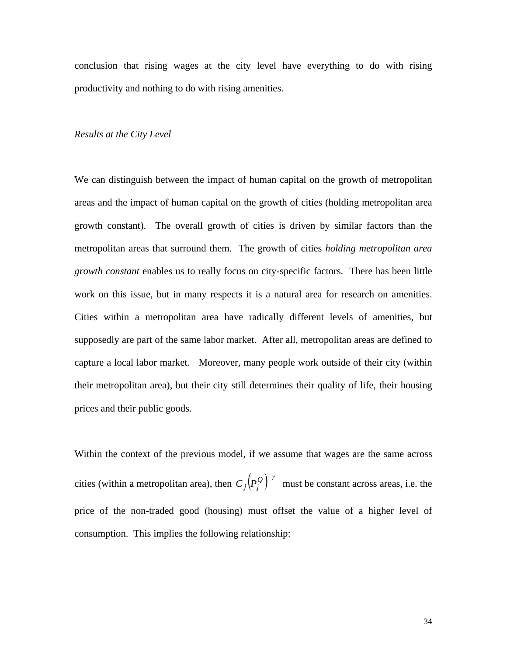conclusion that rising wages at the city level have everything to do with rising productivity and nothing to do with rising amenities.

#### *Results at the City Level*

We can distinguish between the impact of human capital on the growth of metropolitan areas and the impact of human capital on the growth of cities (holding metropolitan area growth constant). The overall growth of cities is driven by similar factors than the metropolitan areas that surround them. The growth of cities *holding metropolitan area growth constant* enables us to really focus on city-specific factors. There has been little work on this issue, but in many respects it is a natural area for research on amenities. Cities within a metropolitan area have radically different levels of amenities, but supposedly are part of the same labor market. After all, metropolitan areas are defined to capture a local labor market. Moreover, many people work outside of their city (within their metropolitan area), but their city still determines their quality of life, their housing prices and their public goods.

Within the context of the previous model, if we assume that wages are the same across cities (within a metropolitan area), then  $C_j (P_j^Q)^{-\gamma}$  must be constant across areas, i.e. the price of the non-traded good (housing) must offset the value of a higher level of consumption. This implies the following relationship: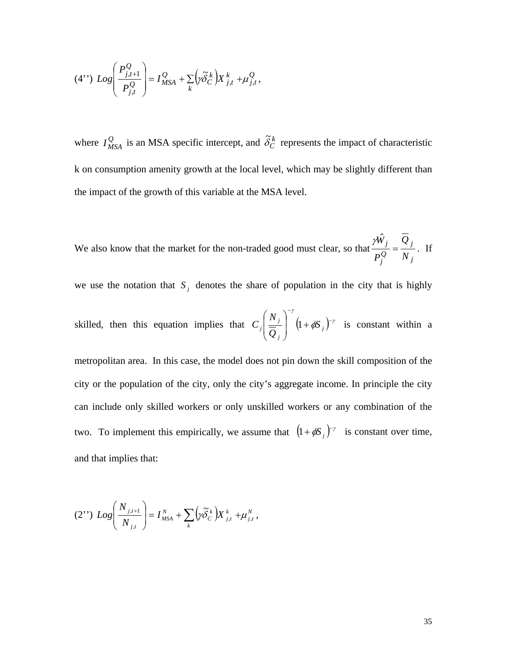(4'') 
$$
Log\left(\frac{P_{j,t+1}^Q}{P_{j,t}^Q}\right) = I_{MSA}^Q + \sum_k \left(\gamma \tilde{\delta}_C^k\right) X_{j,t}^k + \mu_{j,t}^Q,
$$

where  $I_{MSA}^Q$  is an MSA specific intercept, and  $\tilde{\delta}_C^k$  represents the impact of characteristic k on consumption amenity growth at the local level, which may be slightly different than the impact of the growth of this variable at the MSA level.

We also know that the market for the non-traded good must clear, so that *j j Q j j N Q P*  $\frac{\gamma \hat{W}_j}{\hat{Q}} = \frac{\overline{Q}_j}{\sum_{j=1}^{N}}$ . If

we use the notation that  $S_j$  denotes the share of population in the city that is highly

skilled, then this equation implies that  $C_i = \left(1 + \phi S_i\right)^{-\gamma}$ γ  $\phi S_i$ −  $\left(1 + \frac{1}{2}\right)$ ⎠ ⎞  $\overline{a}$  $\overline{a}$ ⎝  $\big($ *j j*  $\int$   $\frac{N_j}{\sqrt{2}}$   $\left(1+\phi S\right)$ *Q N*  $C_i = \left( \frac{1}{2} \right) (1 + \phi S_i)^{-\gamma}$  is constant within a

metropolitan area. In this case, the model does not pin down the skill composition of the city or the population of the city, only the city's aggregate income. In principle the city can include only skilled workers or only unskilled workers or any combination of the two. To implement this empirically, we assume that  $(1 + \phi S_j)^{-\gamma}$  is constant over time, and that implies that:

(2'') 
$$
Log\left(\frac{N_{j,t+1}}{N_{j,t}}\right) = I_{MSA}^N + \sum_{k} \left(\gamma \tilde{\delta}_{C}^k\right) X_{j,t}^k + \mu_{j,t}^N
$$
,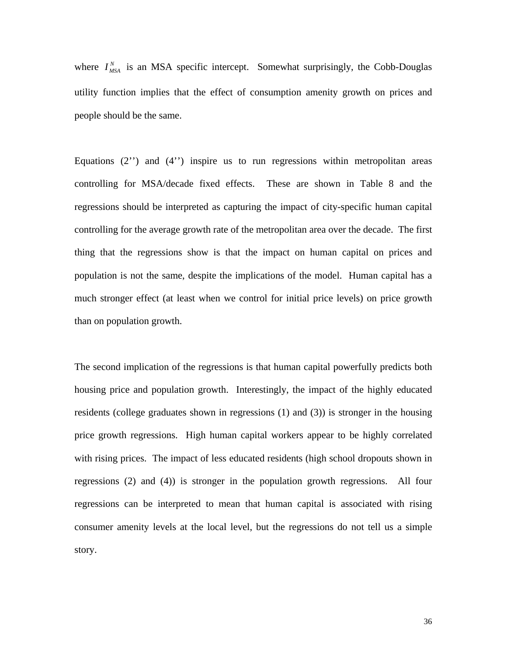where  $I_{MSA}^N$  is an MSA specific intercept. Somewhat surprisingly, the Cobb-Douglas utility function implies that the effect of consumption amenity growth on prices and people should be the same.

Equations  $(2'')$  and  $(4'')$  inspire us to run regressions within metropolitan areas controlling for MSA/decade fixed effects. These are shown in Table 8 and the regressions should be interpreted as capturing the impact of city-specific human capital controlling for the average growth rate of the metropolitan area over the decade. The first thing that the regressions show is that the impact on human capital on prices and population is not the same, despite the implications of the model. Human capital has a much stronger effect (at least when we control for initial price levels) on price growth than on population growth.

The second implication of the regressions is that human capital powerfully predicts both housing price and population growth. Interestingly, the impact of the highly educated residents (college graduates shown in regressions (1) and (3)) is stronger in the housing price growth regressions. High human capital workers appear to be highly correlated with rising prices. The impact of less educated residents (high school dropouts shown in regressions (2) and (4)) is stronger in the population growth regressions. All four regressions can be interpreted to mean that human capital is associated with rising consumer amenity levels at the local level, but the regressions do not tell us a simple story.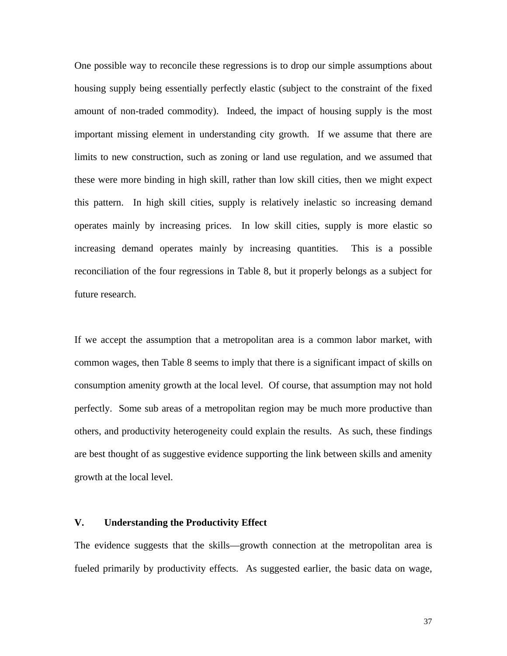One possible way to reconcile these regressions is to drop our simple assumptions about housing supply being essentially perfectly elastic (subject to the constraint of the fixed amount of non-traded commodity). Indeed, the impact of housing supply is the most important missing element in understanding city growth. If we assume that there are limits to new construction, such as zoning or land use regulation, and we assumed that these were more binding in high skill, rather than low skill cities, then we might expect this pattern. In high skill cities, supply is relatively inelastic so increasing demand operates mainly by increasing prices. In low skill cities, supply is more elastic so increasing demand operates mainly by increasing quantities. This is a possible reconciliation of the four regressions in Table 8, but it properly belongs as a subject for future research.

If we accept the assumption that a metropolitan area is a common labor market, with common wages, then Table 8 seems to imply that there is a significant impact of skills on consumption amenity growth at the local level. Of course, that assumption may not hold perfectly. Some sub areas of a metropolitan region may be much more productive than others, and productivity heterogeneity could explain the results. As such, these findings are best thought of as suggestive evidence supporting the link between skills and amenity growth at the local level.

#### **V. Understanding the Productivity Effect**

The evidence suggests that the skills—growth connection at the metropolitan area is fueled primarily by productivity effects. As suggested earlier, the basic data on wage,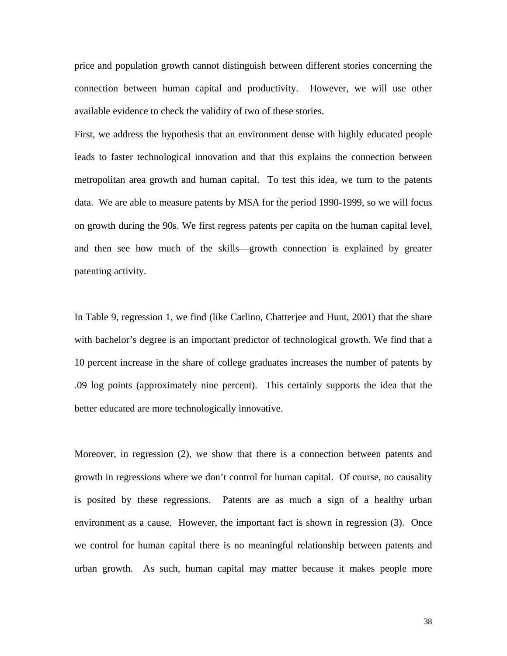price and population growth cannot distinguish between different stories concerning the connection between human capital and productivity. However, we will use other available evidence to check the validity of two of these stories.

First, we address the hypothesis that an environment dense with highly educated people leads to faster technological innovation and that this explains the connection between metropolitan area growth and human capital. To test this idea, we turn to the patents data. We are able to measure patents by MSA for the period 1990-1999, so we will focus on growth during the 90s. We first regress patents per capita on the human capital level, and then see how much of the skills—growth connection is explained by greater patenting activity.

In Table 9, regression 1, we find (like Carlino, Chatterjee and Hunt, 2001) that the share with bachelor's degree is an important predictor of technological growth. We find that a 10 percent increase in the share of college graduates increases the number of patents by .09 log points (approximately nine percent). This certainly supports the idea that the better educated are more technologically innovative.

Moreover, in regression (2), we show that there is a connection between patents and growth in regressions where we don't control for human capital. Of course, no causality is posited by these regressions. Patents are as much a sign of a healthy urban environment as a cause. However, the important fact is shown in regression (3). Once we control for human capital there is no meaningful relationship between patents and urban growth. As such, human capital may matter because it makes people more

38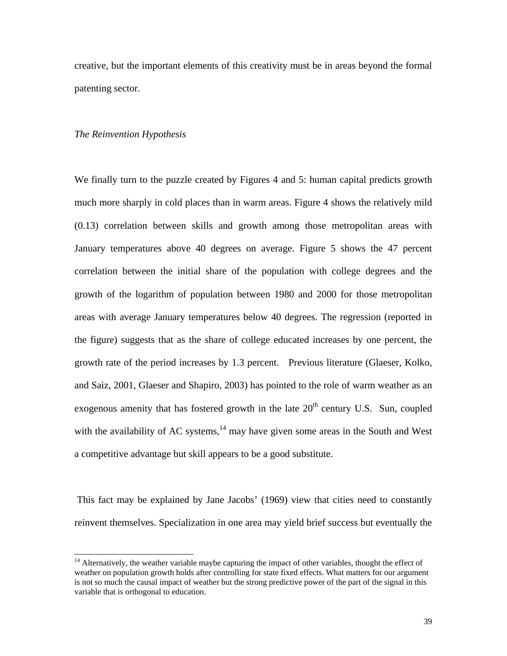creative, but the important elements of this creativity must be in areas beyond the formal patenting sector.

### *The Reinvention Hypothesis*

We finally turn to the puzzle created by Figures 4 and 5: human capital predicts growth much more sharply in cold places than in warm areas. Figure 4 shows the relatively mild (0.13) correlation between skills and growth among those metropolitan areas with January temperatures above 40 degrees on average. Figure 5 shows the 47 percent correlation between the initial share of the population with college degrees and the growth of the logarithm of population between 1980 and 2000 for those metropolitan areas with average January temperatures below 40 degrees. The regression (reported in the figure) suggests that as the share of college educated increases by one percent, the growth rate of the period increases by 1.3 percent. Previous literature (Glaeser, Kolko, and Saiz, 2001, Glaeser and Shapiro, 2003) has pointed to the role of warm weather as an exogenous amenity that has fostered growth in the late  $20<sup>th</sup>$  century U.S. Sun, coupled with the availability of AC systems,  $14$  may have given some areas in the South and West a competitive advantage but skill appears to be a good substitute.

This fact may be explained by Jane Jacobs' (1969) view that cities need to constantly reinvent themselves. Specialization in one area may yield brief success but eventually the

<span id="page-39-0"></span><sup>&</sup>lt;sup>14</sup> Alternatively, the weather variable maybe capturing the impact of other variables, thought the effect of weather on population growth holds after controlling for state fixed effects. What matters for our argument is not so much the causal impact of weather but the strong predictive power of the part of the signal in this variable that is orthogonal to education.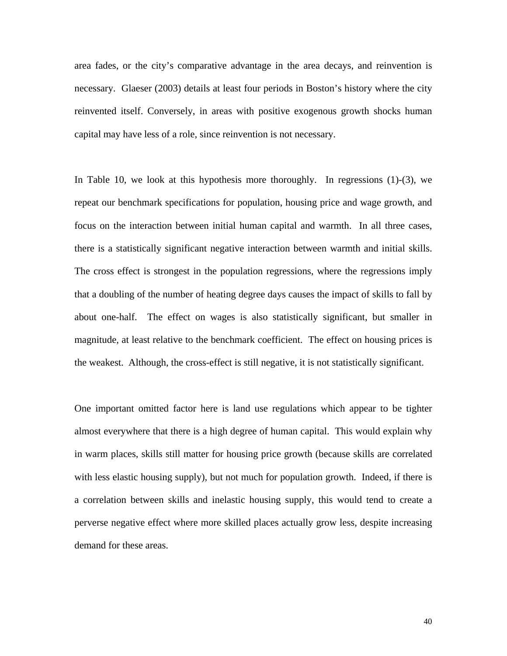area fades, or the city's comparative advantage in the area decays, and reinvention is necessary. Glaeser (2003) details at least four periods in Boston's history where the city reinvented itself. Conversely, in areas with positive exogenous growth shocks human capital may have less of a role, since reinvention is not necessary.

In Table 10, we look at this hypothesis more thoroughly. In regressions (1)-(3), we repeat our benchmark specifications for population, housing price and wage growth, and focus on the interaction between initial human capital and warmth. In all three cases, there is a statistically significant negative interaction between warmth and initial skills. The cross effect is strongest in the population regressions, where the regressions imply that a doubling of the number of heating degree days causes the impact of skills to fall by about one-half. The effect on wages is also statistically significant, but smaller in magnitude, at least relative to the benchmark coefficient. The effect on housing prices is the weakest. Although, the cross-effect is still negative, it is not statistically significant.

One important omitted factor here is land use regulations which appear to be tighter almost everywhere that there is a high degree of human capital. This would explain why in warm places, skills still matter for housing price growth (because skills are correlated with less elastic housing supply), but not much for population growth. Indeed, if there is a correlation between skills and inelastic housing supply, this would tend to create a perverse negative effect where more skilled places actually grow less, despite increasing demand for these areas.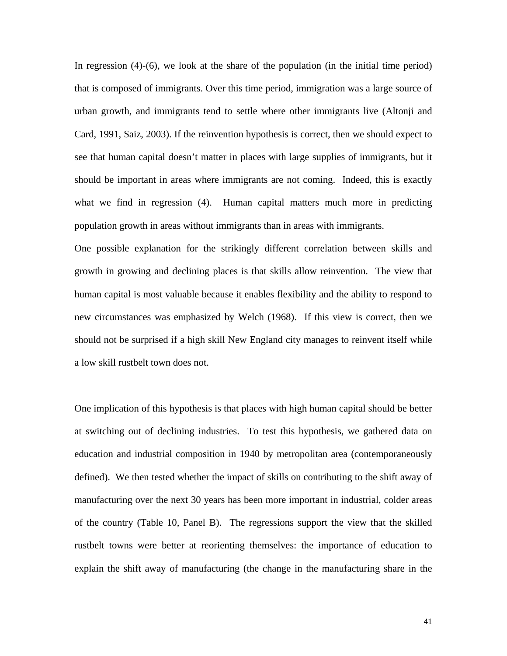In regression (4)-(6), we look at the share of the population (in the initial time period) that is composed of immigrants. Over this time period, immigration was a large source of urban growth, and immigrants tend to settle where other immigrants live (Altonji and Card, 1991, Saiz, 2003). If the reinvention hypothesis is correct, then we should expect to see that human capital doesn't matter in places with large supplies of immigrants, but it should be important in areas where immigrants are not coming. Indeed, this is exactly what we find in regression (4). Human capital matters much more in predicting population growth in areas without immigrants than in areas with immigrants.

One possible explanation for the strikingly different correlation between skills and growth in growing and declining places is that skills allow reinvention. The view that human capital is most valuable because it enables flexibility and the ability to respond to new circumstances was emphasized by Welch (1968). If this view is correct, then we should not be surprised if a high skill New England city manages to reinvent itself while a low skill rustbelt town does not.

One implication of this hypothesis is that places with high human capital should be better at switching out of declining industries. To test this hypothesis, we gathered data on education and industrial composition in 1940 by metropolitan area (contemporaneously defined). We then tested whether the impact of skills on contributing to the shift away of manufacturing over the next 30 years has been more important in industrial, colder areas of the country (Table 10, Panel B). The regressions support the view that the skilled rustbelt towns were better at reorienting themselves: the importance of education to explain the shift away of manufacturing (the change in the manufacturing share in the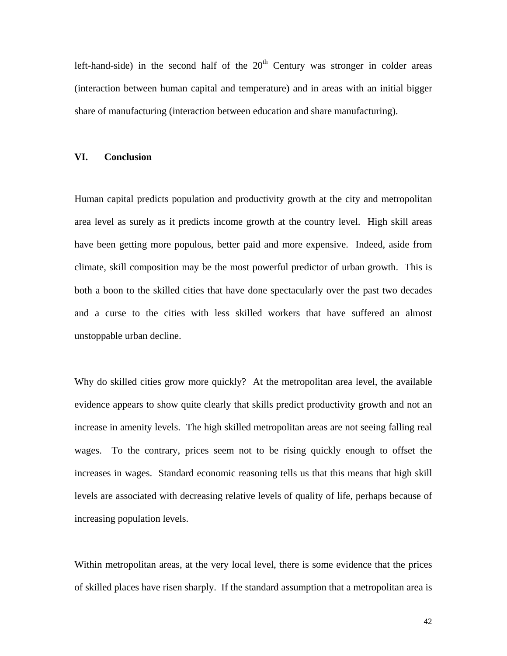left-hand-side) in the second half of the  $20<sup>th</sup>$  Century was stronger in colder areas (interaction between human capital and temperature) and in areas with an initial bigger share of manufacturing (interaction between education and share manufacturing).

### **VI. Conclusion**

Human capital predicts population and productivity growth at the city and metropolitan area level as surely as it predicts income growth at the country level. High skill areas have been getting more populous, better paid and more expensive. Indeed, aside from climate, skill composition may be the most powerful predictor of urban growth. This is both a boon to the skilled cities that have done spectacularly over the past two decades and a curse to the cities with less skilled workers that have suffered an almost unstoppable urban decline.

Why do skilled cities grow more quickly? At the metropolitan area level, the available evidence appears to show quite clearly that skills predict productivity growth and not an increase in amenity levels. The high skilled metropolitan areas are not seeing falling real wages. To the contrary, prices seem not to be rising quickly enough to offset the increases in wages. Standard economic reasoning tells us that this means that high skill levels are associated with decreasing relative levels of quality of life, perhaps because of increasing population levels.

Within metropolitan areas, at the very local level, there is some evidence that the prices of skilled places have risen sharply. If the standard assumption that a metropolitan area is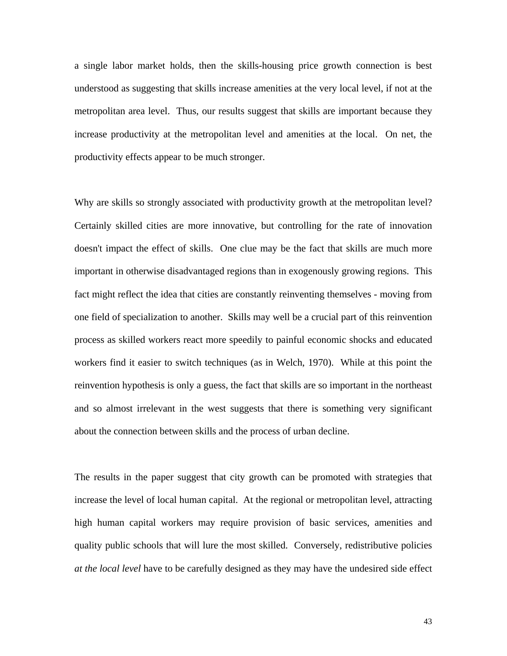a single labor market holds, then the skills-housing price growth connection is best understood as suggesting that skills increase amenities at the very local level, if not at the metropolitan area level. Thus, our results suggest that skills are important because they increase productivity at the metropolitan level and amenities at the local. On net, the productivity effects appear to be much stronger.

Why are skills so strongly associated with productivity growth at the metropolitan level? Certainly skilled cities are more innovative, but controlling for the rate of innovation doesn't impact the effect of skills. One clue may be the fact that skills are much more important in otherwise disadvantaged regions than in exogenously growing regions. This fact might reflect the idea that cities are constantly reinventing themselves - moving from one field of specialization to another. Skills may well be a crucial part of this reinvention process as skilled workers react more speedily to painful economic shocks and educated workers find it easier to switch techniques (as in Welch, 1970). While at this point the reinvention hypothesis is only a guess, the fact that skills are so important in the northeast and so almost irrelevant in the west suggests that there is something very significant about the connection between skills and the process of urban decline.

The results in the paper suggest that city growth can be promoted with strategies that increase the level of local human capital. At the regional or metropolitan level, attracting high human capital workers may require provision of basic services, amenities and quality public schools that will lure the most skilled. Conversely, redistributive policies *at the local level* have to be carefully designed as they may have the undesired side effect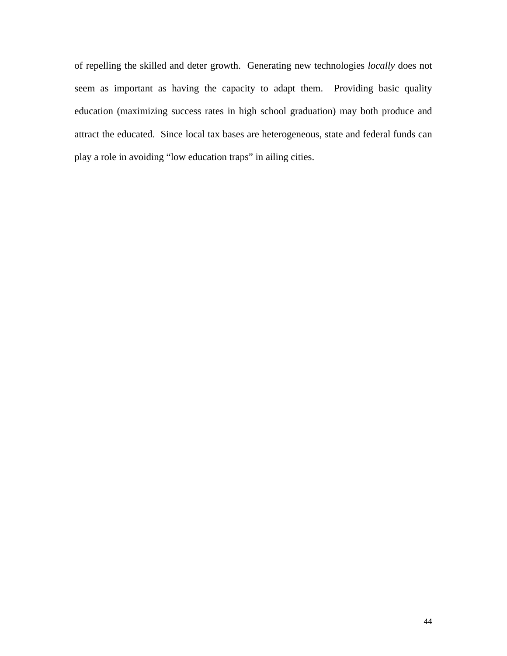of repelling the skilled and deter growth. Generating new technologies *locally* does not seem as important as having the capacity to adapt them. Providing basic quality education (maximizing success rates in high school graduation) may both produce and attract the educated. Since local tax bases are heterogeneous, state and federal funds can play a role in avoiding "low education traps" in ailing cities.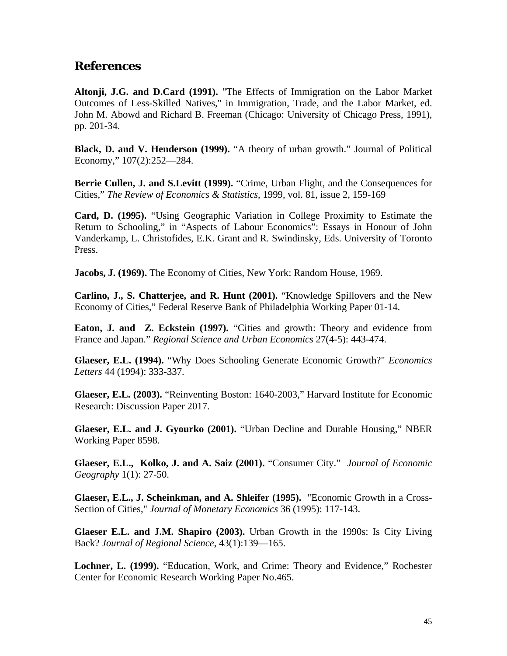## **References**

**Altonji, J.G. and D.Card (1991).** "The Effects of Immigration on the Labor Market Outcomes of Less-Skilled Natives," in Immigration, Trade, and the Labor Market, ed. John M. Abowd and Richard B. Freeman (Chicago: University of Chicago Press, 1991), pp. 201-34.

**Black, D. and V. Henderson (1999).** "A theory of urban growth." Journal of Political Economy," 107(2):252—284.

**Berrie Cullen, J. and S.Levitt (1999).** "Crime, Urban Flight, and the Consequences for Cities," *The Review of Economics & Statistics*, 1999, vol. 81, issue 2, 159-169

**Card, D. (1995).** "Using Geographic Variation in College Proximity to Estimate the Return to Schooling," in "Aspects of Labour Economics": Essays in Honour of John Vanderkamp, L. Christofides, E.K. Grant and R. Swindinsky, Eds. University of Toronto Press.

**Jacobs, J. (1969).** The Economy of Cities, New York: Random House, 1969.

**Carlino, J., S. Chatterjee, and R. Hunt (2001).** "Knowledge Spillovers and the New Economy of Cities," Federal Reserve Bank of Philadelphia Working Paper 01-14.

**Eaton, J. and Z. Eckstein (1997).** "Cities and growth: Theory and evidence from France and Japan." *Regional Science and Urban Economics* 27(4-5): 443-474.

**Glaeser, E.L. (1994).** "Why Does Schooling Generate Economic Growth?" *Economics Letters* 44 (1994): 333-337.

**Glaeser, E.L. (2003).** "Reinventing Boston: 1640-2003," Harvard Institute for Economic Research: Discussion Paper 2017.

**Glaeser, E.L. and J. Gyourko (2001).** "Urban Decline and Durable Housing," NBER Working Paper 8598.

**Glaeser, E.L., Kolko, J. and A. Saiz (2001).** "Consumer City." *Journal of Economic Geography* 1(1): 27-50.

**Glaeser, E.L., J. Scheinkman, and A. Shleifer (1995).** "Economic Growth in a Cross-Section of Cities," *Journal of Monetary Economics* 36 (1995): 117-143.

**Glaeser E.L. and J.M. Shapiro (2003).** Urban Growth in the 1990s: Is City Living Back? *Journal of Regional Science*, 43(1):139—165.

**Lochner, L. (1999).** "Education, Work, and Crime: Theory and Evidence," Rochester Center for Economic Research Working Paper No.465.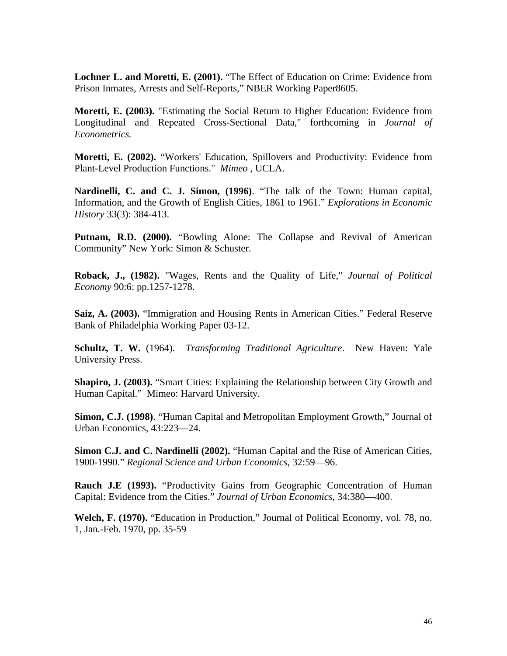**Lochner L. and Moretti, E. (2001).** "The Effect of Education on Crime: Evidence from Prison Inmates, Arrests and Self-Reports," NBER Working Paper8605.

**Moretti, E. (2003).** "Estimating the Social Return to Higher Education: Evidence from Longitudinal and Repeated Cross-Sectional Data," forthcoming in *Journal of Econometrics.* 

**Moretti, E. (2002).** "Workers' Education, Spillovers and Productivity: Evidence from Plant-Level Production Functions." *Mimeo* , UCLA.

**Nardinelli, C. and C. J. Simon, (1996)**. "The talk of the Town: Human capital, Information, and the Growth of English Cities, 1861 to 1961." *Explorations in Economic History* 33(3): 384-413.

**Putnam, R.D. (2000).** "Bowling Alone: The Collapse and Revival of American Community" New York: Simon & Schuster.

**Roback, J., (1982).** "Wages, Rents and the Quality of Life," *Journal of Political Economy* 90:6: pp.1257-1278.

**Saiz, A. (2003).** "Immigration and Housing Rents in American Cities." Federal Reserve Bank of Philadelphia Working Paper 03-12.

**Schultz, T. W.** (1964). *Transforming Traditional Agriculture*. New Haven: Yale University Press.

**Shapiro, J. (2003).** "Smart Cities: Explaining the Relationship between City Growth and Human Capital." Mimeo: Harvard University.

**Simon, C.J. (1998)**. "Human Capital and Metropolitan Employment Growth," Journal of Urban Economics, 43:223—24.

**Simon C.J. and C. Nardinelli (2002).** "Human Capital and the Rise of American Cities, 1900-1990." *Regional Science and Urban Economics*, 32:59—96.

**Rauch J.E (1993).** "Productivity Gains from Geographic Concentration of Human Capital: Evidence from the Cities." *Journal of Urban Economics*, 34:380—400.

**Welch, F. (1970).** "Education in Production," Journal of Political Economy, vol. 78, no. 1, Jan.-Feb. 1970, pp. 35-59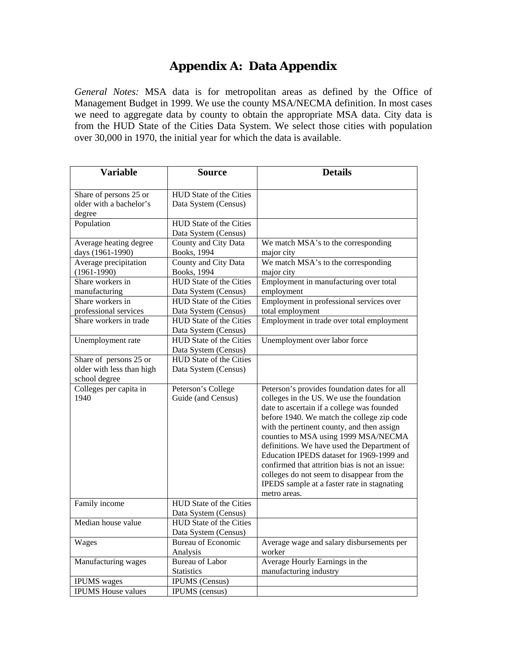## **Appendix A: Data Appendix**

*General Notes:* MSA data is for metropolitan areas as defined by the Office of Management Budget in 1999. We use the county MSA/NECMA definition. In most cases we need to aggregate data by county to obtain the appropriate MSA data. City data is from the HUD State of the Cities Data System. We select those cities with population over 30,000 in 1970, the initial year for which the data is available.

| <b>Variable</b>                                                      | <b>Source</b>                                          | <b>Details</b>                                                                                                                                                                                                                                                                                                                                                                                                                                                                                                                         |
|----------------------------------------------------------------------|--------------------------------------------------------|----------------------------------------------------------------------------------------------------------------------------------------------------------------------------------------------------------------------------------------------------------------------------------------------------------------------------------------------------------------------------------------------------------------------------------------------------------------------------------------------------------------------------------------|
| Share of persons 25 or<br>older with a bachelor's<br>degree          | HUD State of the Cities<br>Data System (Census)        |                                                                                                                                                                                                                                                                                                                                                                                                                                                                                                                                        |
| Population                                                           | <b>HUD State of the Cities</b><br>Data System (Census) |                                                                                                                                                                                                                                                                                                                                                                                                                                                                                                                                        |
| Average heating degree<br>days (1961-1990)                           | County and City Data<br><b>Books</b> , 1994            | We match MSA's to the corresponding<br>major city                                                                                                                                                                                                                                                                                                                                                                                                                                                                                      |
| Average precipitation<br>$(1961 - 1990)$                             | County and City Data<br>Books, 1994                    | We match MSA's to the corresponding<br>major city                                                                                                                                                                                                                                                                                                                                                                                                                                                                                      |
| Share workers in<br>manufacturing                                    | <b>HUD</b> State of the Cities<br>Data System (Census) | Employment in manufacturing over total<br>employment                                                                                                                                                                                                                                                                                                                                                                                                                                                                                   |
| Share workers in<br>professional services                            | <b>HUD State of the Cities</b><br>Data System (Census) | Employment in professional services over<br>total employment                                                                                                                                                                                                                                                                                                                                                                                                                                                                           |
| Share workers in trade                                               | <b>HUD</b> State of the Cities<br>Data System (Census) | Employment in trade over total employment                                                                                                                                                                                                                                                                                                                                                                                                                                                                                              |
| Unemployment rate                                                    | <b>HUD</b> State of the Cities<br>Data System (Census) | Unemployment over labor force                                                                                                                                                                                                                                                                                                                                                                                                                                                                                                          |
| Share of persons 25 or<br>older with less than high<br>school degree | <b>HUD</b> State of the Cities<br>Data System (Census) |                                                                                                                                                                                                                                                                                                                                                                                                                                                                                                                                        |
| Colleges per capita in<br>1940                                       | Peterson's College<br>Guide (and Census)               | Peterson's provides foundation dates for all<br>colleges in the US. We use the foundation<br>date to ascertain if a college was founded<br>before 1940. We match the college zip code<br>with the pertinent county, and then assign<br>counties to MSA using 1999 MSA/NECMA<br>definitions. We have used the Department of<br>Education IPEDS dataset for 1969-1999 and<br>confirmed that attrition bias is not an issue:<br>colleges do not seem to disappear from the<br>IPEDS sample at a faster rate in stagnating<br>metro areas. |
| Family income                                                        | <b>HUD State of the Cities</b><br>Data System (Census) |                                                                                                                                                                                                                                                                                                                                                                                                                                                                                                                                        |
| Median house value                                                   | <b>HUD State of the Cities</b><br>Data System (Census) |                                                                                                                                                                                                                                                                                                                                                                                                                                                                                                                                        |
| Wages                                                                | <b>Bureau of Economic</b><br>Analysis                  | Average wage and salary disbursements per<br>worker                                                                                                                                                                                                                                                                                                                                                                                                                                                                                    |
| Manufacturing wages                                                  | <b>Bureau of Labor</b><br><b>Statistics</b>            | Average Hourly Earnings in the<br>manufacturing industry                                                                                                                                                                                                                                                                                                                                                                                                                                                                               |
| <b>IPUMS</b> wages                                                   | <b>IPUMS</b> (Census)                                  |                                                                                                                                                                                                                                                                                                                                                                                                                                                                                                                                        |
| <b>IPUMS</b> House values                                            | IPUMS (census)                                         |                                                                                                                                                                                                                                                                                                                                                                                                                                                                                                                                        |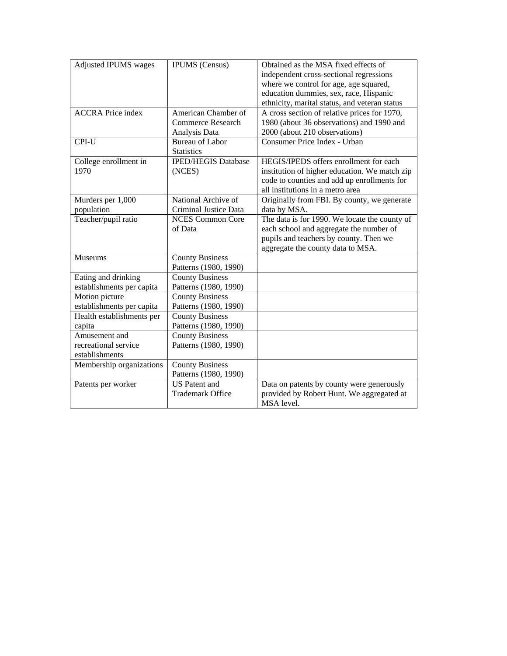| Adjusted IPUMS wages      | <b>IPUMS</b> (Census)      | Obtained as the MSA fixed effects of<br>independent cross-sectional regressions<br>where we control for age, age squared,<br>education dummies, sex, race, Hispanic<br>ethnicity, marital status, and veteran status |
|---------------------------|----------------------------|----------------------------------------------------------------------------------------------------------------------------------------------------------------------------------------------------------------------|
| <b>ACCRA Price index</b>  | American Chamber of        |                                                                                                                                                                                                                      |
|                           |                            | A cross section of relative prices for 1970,                                                                                                                                                                         |
|                           | <b>Commerce Research</b>   | 1980 (about 36 observations) and 1990 and                                                                                                                                                                            |
|                           | Analysis Data              | 2000 (about 210 observations)                                                                                                                                                                                        |
| CPI-U                     | <b>Bureau of Labor</b>     | Consumer Price Index - Urban                                                                                                                                                                                         |
|                           | <b>Statistics</b>          |                                                                                                                                                                                                                      |
| College enrollment in     | <b>IPED/HEGIS Database</b> | HEGIS/IPEDS offers enrollment for each                                                                                                                                                                               |
| 1970                      | (NCES)                     | institution of higher education. We match zip                                                                                                                                                                        |
|                           |                            | code to counties and add up enrollments for                                                                                                                                                                          |
|                           |                            | all institutions in a metro area                                                                                                                                                                                     |
| Murders per 1,000         | National Archive of        | Originally from FBI. By county, we generate                                                                                                                                                                          |
| population                | Criminal Justice Data      | data by MSA.                                                                                                                                                                                                         |
| Teacher/pupil ratio       | <b>NCES Common Core</b>    | The data is for 1990. We locate the county of                                                                                                                                                                        |
|                           | of Data                    | each school and aggregate the number of                                                                                                                                                                              |
|                           |                            | pupils and teachers by county. Then we                                                                                                                                                                               |
|                           |                            | aggregate the county data to MSA.                                                                                                                                                                                    |
| <b>Museums</b>            | <b>County Business</b>     |                                                                                                                                                                                                                      |
|                           | Patterns (1980, 1990)      |                                                                                                                                                                                                                      |
| Eating and drinking       | <b>County Business</b>     |                                                                                                                                                                                                                      |
| establishments per capita | Patterns (1980, 1990)      |                                                                                                                                                                                                                      |
| Motion picture            | <b>County Business</b>     |                                                                                                                                                                                                                      |
| establishments per capita | Patterns (1980, 1990)      |                                                                                                                                                                                                                      |
| Health establishments per | <b>County Business</b>     |                                                                                                                                                                                                                      |
| capita                    | Patterns (1980, 1990)      |                                                                                                                                                                                                                      |
| Amusement and             | <b>County Business</b>     |                                                                                                                                                                                                                      |
| recreational service      | Patterns (1980, 1990)      |                                                                                                                                                                                                                      |
| establishments            |                            |                                                                                                                                                                                                                      |
| Membership organizations  | <b>County Business</b>     |                                                                                                                                                                                                                      |
|                           | Patterns (1980, 1990)      |                                                                                                                                                                                                                      |
|                           | <b>US</b> Patent and       | Data on patents by county were generously                                                                                                                                                                            |
| Patents per worker        | <b>Trademark Office</b>    | provided by Robert Hunt. We aggregated at                                                                                                                                                                            |
|                           |                            | MSA level.                                                                                                                                                                                                           |
|                           |                            |                                                                                                                                                                                                                      |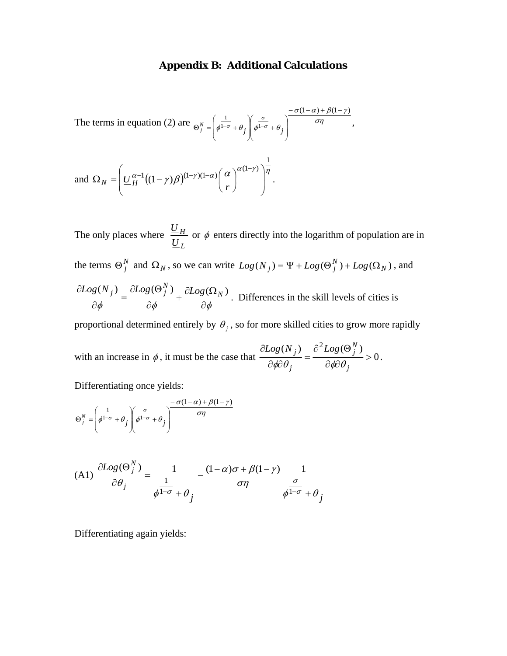## **Appendix B: Additional Calculations**

The terms in equation (2) are 
$$
\Theta_j^N = \left(\phi_1^{\frac{1}{1-\sigma}} + \theta_j \right) \left(\phi_1^{\frac{\sigma}{1-\sigma}} + \theta_j \right)^{-\frac{\sigma(1-\alpha) + \beta(1-\gamma)}{\sigma\eta}},
$$
  
and  $\Omega_N = \left(\frac{U}{H} \frac{\alpha^{-1}((1-\gamma)\beta)^{(1-\gamma)(1-\alpha)} \left(\frac{\alpha}{r}\right)^{\alpha(1-\gamma)}}{\alpha\beta}\right)^{\frac{1}{\eta}}.$ 

The only places where *L H U U* or  $\phi$  enters directly into the logarithm of population are in the terms  $\Theta_j^N$  and  $\Omega_N$ , so we can write  $Log(N_j) = \Psi + Log(\Theta_j^N) + Log(\Omega_N)$ , and  $\partial \phi$   $\partial \phi$   $\partial \phi$  $\partial Log(\Omega)$ +  $\frac{\partial Log(N_j)}{\partial \phi} = \frac{\partial Log(\Theta_j^N)}{\partial \phi} + \frac{\partial Log(\Omega_N)}{\partial \phi}$ . Differences in the skill levels of cities is

proportional determined entirely by  $\theta_j$ , so for more skilled cities to grow more rapidly

with an increase in  $\phi$ , it must be the case that  $\frac{\partial Log(N_j)}{\partial x_j} = \frac{\partial^2 Log(\Theta_j^N)}{\partial y_j} > 0$  $\frac{\partial Log(N_j)}{\partial \phi \partial \theta_j} = \frac{\partial^2 Log(\Theta)}{\partial \phi \partial \theta_j}$ *j N j j*  $Log(N_j)$   $\partial^2 Log$  $\frac{\partial}{\partial \phi} \frac{\partial}{\partial \phi} + \frac{\partial}{\partial \phi} \frac{\partial}{\partial \phi} \frac{\partial}{\partial \phi} + \frac{\partial}{\partial \phi} \frac{\partial}{\partial \phi} + \frac{\partial}{\partial \phi} \frac{\partial}{\partial \phi} + \frac{\partial}{\partial \phi} \frac{\partial}{\partial \phi} + \frac{\partial}{\partial \phi} \frac{\partial}{\partial \phi} + \frac{\partial}{\partial \phi} \frac{\partial}{\partial \phi} + \frac{\partial}{\partial \phi} \frac{\partial}{\partial \phi} + \frac{\partial}{\partial \phi} \frac{\partial}{\partial \phi} + \frac{\partial}{\partial \phi} \frac{\partial}{\partial \phi} +$ 

Differentiating once yields:

$$
\Theta_j^N = \left(\phi^{\frac{1}{1-\sigma}} + \theta_j\right)\left(\phi^{\frac{\sigma}{1-\sigma}} + \theta_j\right)^{\frac{-\sigma(1-\alpha)+\beta(1-\gamma)}{\sigma\eta}}
$$

(A1) 
$$
\frac{\partial Log(\Theta_j^N)}{\partial \theta_j} = \frac{1}{\frac{1}{\phi^{1-\sigma}} + \theta_j} - \frac{(1-\alpha)\sigma + \beta(1-\gamma)}{\sigma\eta} \frac{1}{\frac{\sigma}{\phi^{1-\sigma}} + \theta_j}
$$

Differentiating again yields: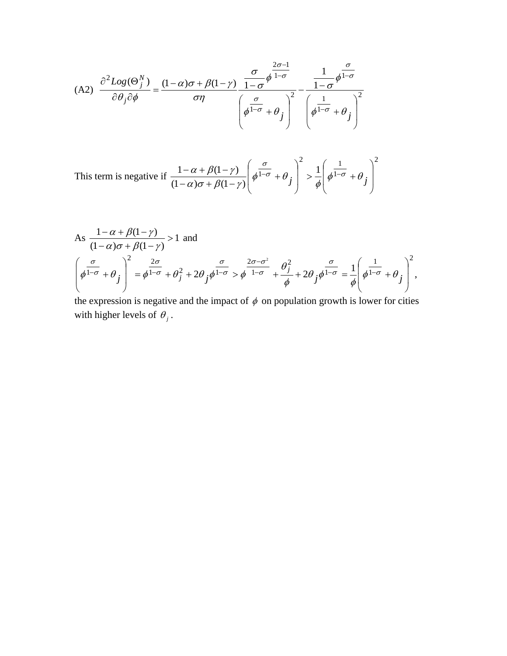(A2) 
$$
\frac{\partial^2 Log(\Theta_j^N)}{\partial \theta_j \partial \phi} = \frac{(1-\alpha)\sigma + \beta(1-\gamma)}{\sigma \eta} \frac{\frac{\sigma}{1-\sigma} \phi^{\frac{2\sigma-1}{1-\sigma}}}{\left(\phi^{\frac{\sigma}{1-\sigma}} + \theta_j\right)^2} - \frac{\frac{1}{1-\sigma} \phi^{\frac{\sigma}{1-\sigma}}}{\left(\phi^{\frac{1}{1-\sigma}} + \theta_j\right)^2}
$$

This term is negative if 
$$
\frac{1 - \alpha + \beta(1 - \gamma)}{(1 - \alpha)\sigma + \beta(1 - \gamma)} \left( \phi^{\frac{\sigma}{1 - \sigma}} + \theta_j \right)^2 > \frac{1}{\phi} \left( \phi^{\frac{1}{1 - \sigma}} + \theta_j \right)^2
$$

As 
$$
\frac{1 - \alpha + \beta(1 - \gamma)}{(1 - \alpha)\sigma + \beta(1 - \gamma)} > 1
$$
 and  

$$
\left(\phi^{\frac{\sigma}{1 - \sigma}} + \theta_j\right)^2 = \phi^{\frac{2\sigma}{1 - \sigma}} + \theta_j^2 + 2\theta_j\phi^{\frac{\sigma}{1 - \sigma}} > \phi^{\frac{2\sigma - \sigma^2}{1 - \sigma}} + \frac{\theta_j^2}{\phi} + 2\theta_j\phi^{\frac{\sigma}{1 - \sigma}} = \frac{1}{\phi}\left(\phi^{\frac{1}{1 - \sigma}} + \theta_j\right)^2,
$$

the expression is negative and the impact of  $\phi$  on population growth is lower for cities with higher levels of  $\theta_j$ .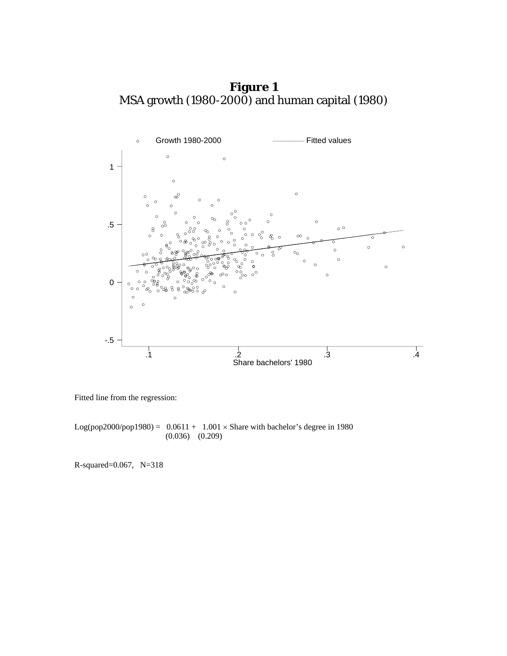**Figure 1**  MSA growth (1980-2000) and human capital (1980)



Fitted line from the regression:

Log(pop2000/pop1980) =  $0.0611 + 1.001 \times$  Share with bachelor's degree in 1980 (0.036) (0.209)

R-squared=0.067, N=318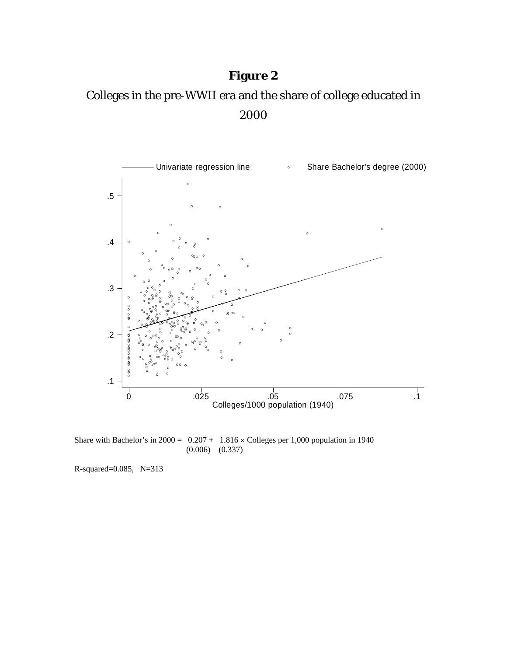## **Figure 2**

## Colleges in the pre-WWII era and the share of college educated in 2000



Share with Bachelor's in  $2000 = 0.207 + 1.816 \times$  Colleges per 1,000 population in 1940 (0.006) (0.337)

R-squared=0.085, N=313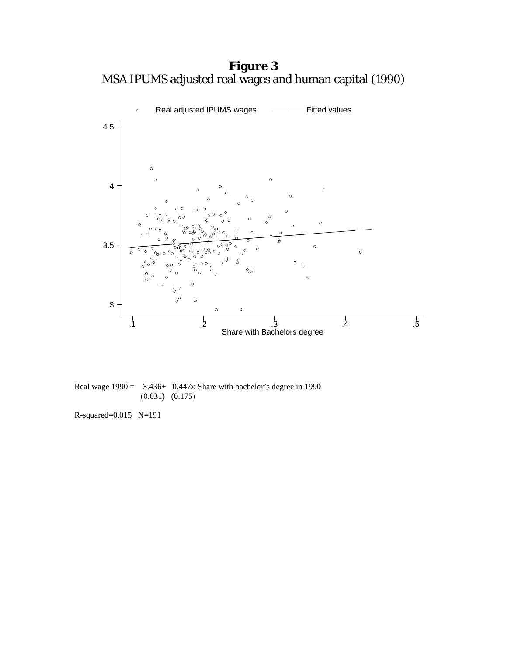**Figure 3**  MSA IPUMS adjusted real wages and human capital (1990)



Real wage 1990 = 3.436+ 0.447× Share with bachelor's degree in 1990 (0.031) (0.175)

R-squared=0.015 N=191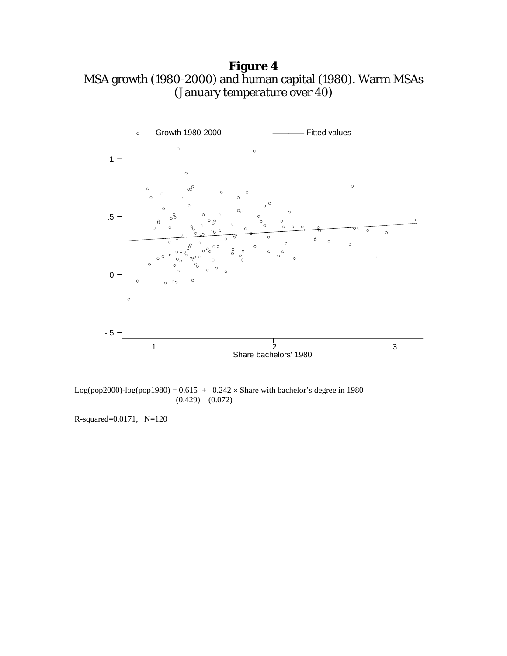**Figure 4**  MSA growth (1980-2000) and human capital (1980). Warm MSAs (January temperature over 40)



Log(pop2000)-log(pop1980) =  $0.615 + 0.242 \times$  Share with bachelor's degree in 1980 (0.429) (0.072)

R-squared=0.0171, N=120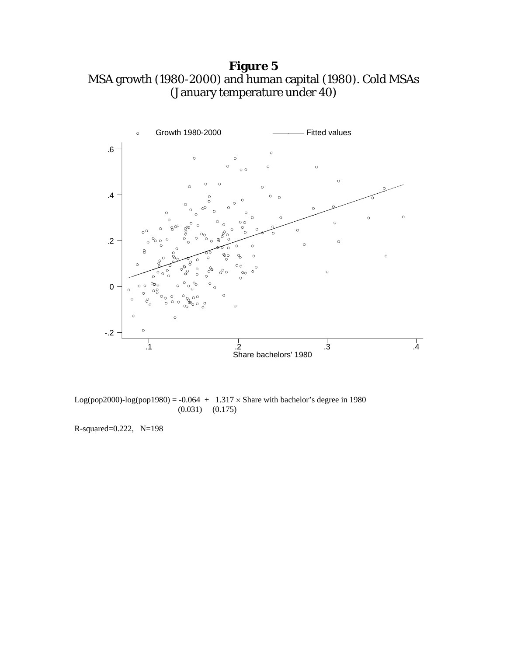**Figure 5**  MSA growth (1980-2000) and human capital (1980). Cold MSAs (January temperature under 40)



Log(pop2000)-log(pop1980) = -0.064 +  $1.317 \times$  Share with bachelor's degree in 1980 (0.031) (0.175)

R-squared=0.222, N=198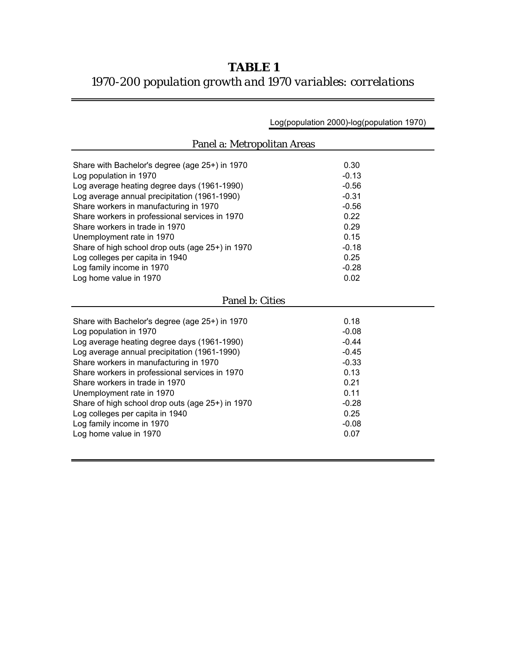## **TABLE 1** *1970-200 population growth and 1970 variables: correlations*

|                                                                                                                                                                                                                                                                                                                                                                                                                                                                                  | Log(population 2000)-log(population 1970)                                                                      |  |  |  |  |
|----------------------------------------------------------------------------------------------------------------------------------------------------------------------------------------------------------------------------------------------------------------------------------------------------------------------------------------------------------------------------------------------------------------------------------------------------------------------------------|----------------------------------------------------------------------------------------------------------------|--|--|--|--|
| Panel a: Metropolitan Areas                                                                                                                                                                                                                                                                                                                                                                                                                                                      |                                                                                                                |  |  |  |  |
| Share with Bachelor's degree (age 25+) in 1970<br>Log population in 1970<br>Log average heating degree days (1961-1990)<br>Log average annual precipitation (1961-1990)<br>Share workers in manufacturing in 1970<br>Share workers in professional services in 1970<br>Share workers in trade in 1970                                                                                                                                                                            | 0.30<br>$-0.13$<br>$-0.56$<br>$-0.31$<br>$-0.56$<br>0.22<br>0.29                                               |  |  |  |  |
| Unemployment rate in 1970<br>Share of high school drop outs (age 25+) in 1970<br>Log colleges per capita in 1940<br>Log family income in 1970<br>Log home value in 1970<br>Panel b: Cities                                                                                                                                                                                                                                                                                       | 0.15<br>$-0.18$<br>0.25<br>$-0.28$<br>0.02                                                                     |  |  |  |  |
| Share with Bachelor's degree (age 25+) in 1970<br>Log population in 1970<br>Log average heating degree days (1961-1990)<br>Log average annual precipitation (1961-1990)<br>Share workers in manufacturing in 1970<br>Share workers in professional services in 1970<br>Share workers in trade in 1970<br>Unemployment rate in 1970<br>Share of high school drop outs (age 25+) in 1970<br>Log colleges per capita in 1940<br>Log family income in 1970<br>Log home value in 1970 | 0.18<br>$-0.08$<br>$-0.44$<br>$-0.45$<br>$-0.33$<br>0.13<br>0.21<br>0.11<br>$-0.28$<br>0.25<br>$-0.08$<br>0.07 |  |  |  |  |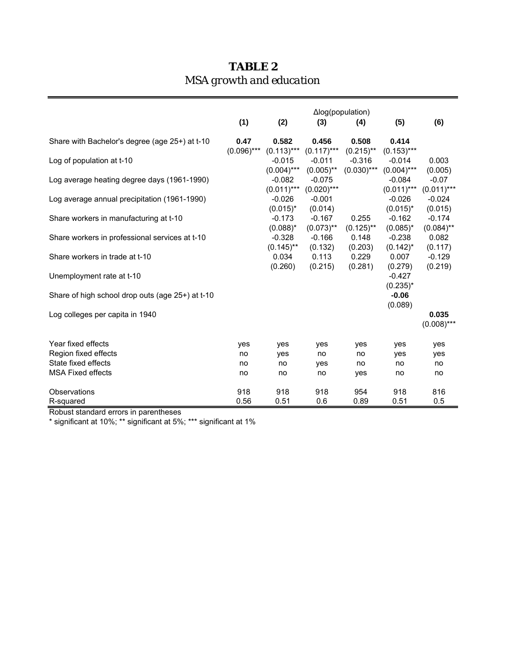**TABLE 2** *MSA growth and education*

|                                                  | (1)                   | (2)                       | Δlog(population)<br>(3)   | (4)                       | (5)                       | (6)                      |
|--------------------------------------------------|-----------------------|---------------------------|---------------------------|---------------------------|---------------------------|--------------------------|
| Share with Bachelor's degree (age 25+) at t-10   | 0.47<br>$(0.096)$ *** | 0.582<br>$(0.113)***$     | 0.456<br>$(0.117)$ ***    | 0.508<br>$(0.215)$ **     | 0.414<br>$(0.153)***$     |                          |
| Log of population at t-10                        |                       | $-0.015$<br>$(0.004)$ *** | $-0.011$<br>$(0.005)$ **  | $-0.316$<br>$(0.030)$ *** | $-0.014$<br>$(0.004)$ *** | 0.003<br>(0.005)         |
| Log average heating degree days (1961-1990)      |                       | $-0.082$<br>$(0.011)$ *** | $-0.075$<br>$(0.020)$ *** |                           | $-0.084$<br>$(0.011)$ *** | $-0.07$<br>$(0.011)$ *** |
| Log average annual precipitation (1961-1990)     |                       | $-0.026$<br>$(0.015)^*$   | $-0.001$<br>(0.014)       |                           | $-0.026$<br>$(0.015)^*$   | $-0.024$<br>(0.015)      |
| Share workers in manufacturing at t-10           |                       | $-0.173$<br>$(0.088)^*$   | $-0.167$<br>$(0.073)$ **  | 0.255<br>$(0.125)$ **     | $-0.162$<br>$(0.085)^*$   | $-0.174$<br>$(0.084)$ ** |
| Share workers in professional services at t-10   |                       | $-0.328$<br>$(0.145)$ **  | $-0.166$<br>(0.132)       | 0.148<br>(0.203)          | $-0.238$<br>$(0.142)^{*}$ | 0.082<br>(0.117)         |
| Share workers in trade at t-10                   |                       | 0.034<br>(0.260)          | 0.113<br>(0.215)          | 0.229<br>(0.281)          | 0.007<br>(0.279)          | $-0.129$<br>(0.219)      |
| Unemployment rate at t-10                        |                       |                           |                           |                           | $-0.427$<br>$(0.235)^*$   |                          |
| Share of high school drop outs (age 25+) at t-10 |                       |                           |                           |                           | $-0.06$<br>(0.089)        |                          |
| Log colleges per capita in 1940                  |                       |                           |                           |                           |                           | 0.035<br>$(0.008)$ ***   |
| Year fixed effects                               | yes                   | yes                       | yes                       | yes                       | yes                       | yes                      |
| Region fixed effects                             | no                    | yes                       | no                        | no                        | yes                       | yes                      |
| State fixed effects                              | no                    | no                        | yes                       | no                        | no                        | no                       |
| <b>MSA Fixed effects</b>                         | no                    | no                        | no                        | yes                       | no                        | no                       |
| Observations                                     | 918                   | 918                       | 918                       | 954                       | 918                       | 816                      |
| R-squared                                        | 0.56                  | 0.51                      | 0.6                       | 0.89                      | 0.51                      | 0.5                      |

Robust standard errors in parentheses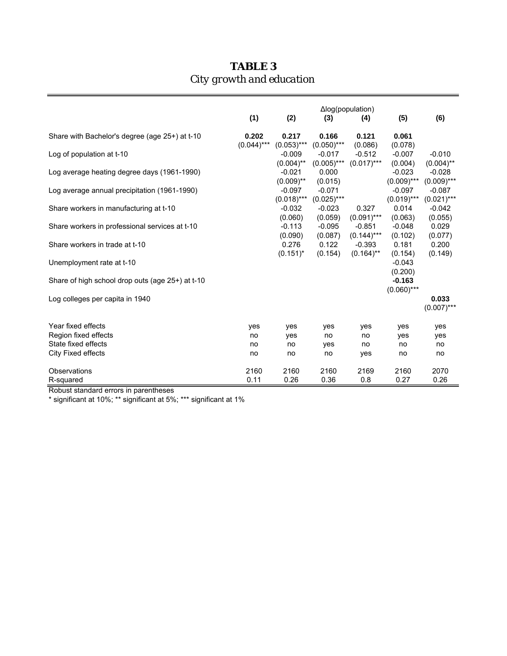|                                                  |               | $\Delta$ log(population)  |                           |                           |                           |                           |
|--------------------------------------------------|---------------|---------------------------|---------------------------|---------------------------|---------------------------|---------------------------|
|                                                  | (1)           | (2)                       | (3)                       | (4)                       | (5)                       | (6)                       |
| Share with Bachelor's degree (age 25+) at t-10   | 0.202         | 0.217                     | 0.166                     | 0.121                     | 0.061                     |                           |
| Log of population at t-10                        | $(0.044)$ *** | $(0.053)$ ***<br>$-0.009$ | $(0.050)$ ***<br>$-0.017$ | (0.086)<br>$-0.512$       | (0.078)<br>$-0.007$       | $-0.010$                  |
| Log average heating degree days (1961-1990)      |               | $(0.004)$ **<br>$-0.021$  | $(0.005)$ ***<br>0.000    | $(0.017)$ ***             | (0.004)<br>$-0.023$       | $(0.004)$ **<br>$-0.028$  |
| Log average annual precipitation (1961-1990)     |               | $(0.009)$ **<br>$-0.097$  | (0.015)<br>$-0.071$       |                           | $(0.009)$ ***<br>$-0.097$ | $(0.009)$ ***<br>$-0.087$ |
| Share workers in manufacturing at t-10           |               | $(0.018)***$<br>$-0.032$  | $(0.025)$ ***<br>$-0.023$ | 0.327                     | $(0.019)***$<br>0.014     | $(0.021)$ ***<br>$-0.042$ |
| Share workers in professional services at t-10   |               | (0.060)<br>$-0.113$       | (0.059)<br>$-0.095$       | $(0.091)$ ***<br>$-0.851$ | (0.063)<br>$-0.048$       | (0.055)<br>0.029          |
| Share workers in trade at t-10                   |               | (0.090)<br>0.276          | (0.087)<br>0.122          | $(0.144)$ ***<br>$-0.393$ | (0.102)<br>0.181          | (0.077)<br>0.200          |
| Unemployment rate at t-10                        |               | $(0.151)^*$               | (0.154)                   | $(0.164)$ **              | (0.154)<br>$-0.043$       | (0.149)                   |
| Share of high school drop outs (age 25+) at t-10 |               |                           |                           |                           | (0.200)<br>$-0.163$       |                           |
| Log colleges per capita in 1940                  |               |                           |                           |                           | $(0.060)$ ***             | 0.033<br>$(0.007)$ ***    |
| Year fixed effects                               | yes           | yes                       | yes                       | yes                       | yes                       | yes                       |
| Region fixed effects                             | no            | yes                       | no                        | no                        | yes                       | yes                       |
| State fixed effects                              | no            | no                        | yes                       | no                        | no                        | no                        |
| City Fixed effects                               | no            | no                        | no                        | yes                       | no                        | no                        |
| Observations                                     | 2160          | 2160                      | 2160                      | 2169                      | 2160                      | 2070                      |
| R-squared                                        | 0.11          | 0.26                      | 0.36                      | 0.8                       | 0.27                      | 0.26                      |

**TABLE 3** *City growth and education*

Robust standard errors in parentheses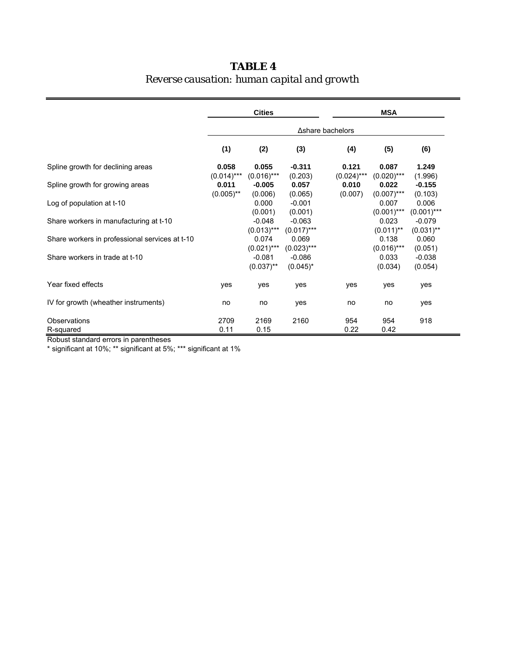## **TABLE 4** *Reverse causation: human capital and growth*

|                                                |                        | <b>Cities</b>            |                           |                        | <b>MSA</b>             |                          |
|------------------------------------------------|------------------------|--------------------------|---------------------------|------------------------|------------------------|--------------------------|
|                                                | Ashare bachelors       |                          |                           |                        |                        |                          |
|                                                | (1)                    | (2)                      | (3)                       | (4)                    | (5)                    | (6)                      |
| Spline growth for declining areas              | 0.058<br>$(0.014)$ *** | 0.055<br>$(0.016)$ ***   | $-0.311$<br>(0.203)       | 0.121<br>$(0.024)$ *** | 0.087<br>$(0.020)$ *** | 1.249<br>(1.996)         |
| Spline growth for growing areas                | 0.011<br>$(0.005)$ **  | $-0.005$<br>(0.006)      | 0.057<br>(0.065)          | 0.010<br>(0.007)       | 0.022<br>$(0.007)$ *** | $-0.155$<br>(0.103)      |
| Log of population at t-10                      |                        | 0.000<br>(0.001)         | $-0.001$<br>(0.001)       |                        | 0.007<br>$(0.001)$ *** | 0.006<br>$(0.001)$ ***   |
| Share workers in manufacturing at t-10         |                        | $-0.048$<br>$(0.013)***$ | $-0.063$<br>$(0.017)$ *** |                        | 0.023<br>$(0.011)$ **  | $-0.079$<br>$(0.031)$ ** |
| Share workers in professional services at t-10 |                        | 0.074<br>$(0.021)$ ***   | 0.069<br>$(0.023)***$     |                        | 0.138<br>$(0.016)***$  | 0.060<br>(0.051)         |
| Share workers in trade at t-10                 |                        | $-0.081$<br>$(0.037)$ ** | $-0.086$<br>$(0.045)^*$   |                        | 0.033<br>(0.034)       | $-0.038$<br>(0.054)      |
| Year fixed effects                             | yes                    | yes                      | yes                       | yes                    | yes                    | yes                      |
| IV for growth (wheather instruments)           | no                     | no                       | yes                       | no                     | no                     | yes                      |
| Observations<br>R-squared                      | 2709<br>0.11           | 2169<br>0.15             | 2160                      | 954<br>0.22            | 954<br>0.42            | 918                      |

Robust standard errors in parentheses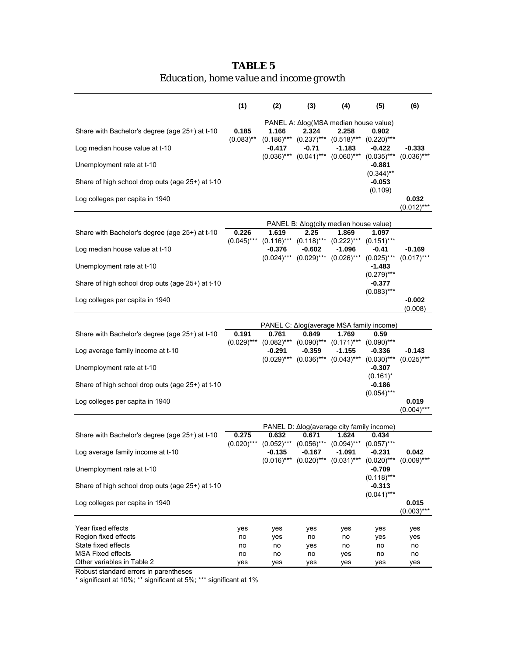|                                                  | (1)                    | (2)                     | (3)                                                   | (4)                                        | (5)                                        | (6)                       |
|--------------------------------------------------|------------------------|-------------------------|-------------------------------------------------------|--------------------------------------------|--------------------------------------------|---------------------------|
|                                                  |                        |                         | PANEL A: Δlog(MSA median house value)                 |                                            |                                            |                           |
| Share with Bachelor's degree (age 25+) at t-10   | 0.185                  | 1.166                   | 2.324                                                 | 2.258                                      | 0.902                                      |                           |
| Log median house value at t-10                   | $(0.083)$ **           | $(0.186)$ ***<br>-0.417 | $(0.237)$ ***<br>-0.71<br>$(0.036)$ *** $(0.041)$ *** | $(0.518)$ ***<br>$-1.183$<br>$(0.060)$ *** | $(0.220)$ ***<br>$-0.422$<br>$(0.035)$ *** | $-0.333$<br>$(0.036)$ *** |
| Unemployment rate at t-10                        |                        |                         |                                                       |                                            | $-0.881$<br>$(0.344)$ **                   |                           |
| Share of high school drop outs (age 25+) at t-10 |                        |                         |                                                       |                                            | $-0.053$<br>(0.109)                        |                           |
| Log colleges per capita in 1940                  |                        |                         |                                                       |                                            |                                            | 0.032<br>$(0.012)***$     |
|                                                  |                        |                         | PANEL B: Δlog(city median house value)                |                                            |                                            |                           |
| Share with Bachelor's degree (age 25+) at t-10   | 0.226<br>$(0.045)$ *** | 1.619                   | 2.25<br>$(0.116)$ *** $(0.118)$ ***                   | 1.869<br>$(0.222)$ ***                     | 1.097<br>$(0.151)$ ***                     |                           |
| Log median house value at t-10                   |                        | -0.376                  | $-0.602$<br>$(0.024)$ *** $(0.029)$ ***               | $-1.096$<br>$(0.026)$ ***                  | -0.41<br>$(0.025)$ ***                     | $-0.169$<br>$(0.017)$ *** |
| Unemployment rate at t-10                        |                        |                         |                                                       |                                            | $-1.483$<br>$(0.279)$ ***                  |                           |
| Share of high school drop outs (age 25+) at t-10 |                        |                         |                                                       |                                            | $-0.377$<br>$(0.083)$ ***                  |                           |
| Log colleges per capita in 1940                  |                        |                         |                                                       |                                            |                                            | $-0.002$<br>(0.008)       |
|                                                  |                        |                         | PANEL C: Δlog(average MSA family income)              |                                            |                                            |                           |
| Share with Bachelor's degree (age 25+) at t-10   | 0.191                  | 0.761                   | 0.849                                                 | 1.769                                      | 0.59                                       |                           |
| Log average family income at t-10                | $(0.029)$ ***          | -0.291                  | $(0.082)$ *** $(0.090)$ ***<br>$-0.359$               | $(0.171)$ *** $(0.090)$ ***<br>$-1.155$    | $-0.336$                                   | $-0.143$                  |
| Unemployment rate at t-10                        |                        |                         | $(0.029)$ *** $(0.036)$ ***                           | $(0.043)$ ***                              | $(0.030)$ ***<br>$-0.307$                  | $(0.025)$ ***             |
| Share of high school drop outs (age 25+) at t-10 |                        |                         |                                                       |                                            | $(0.161)^*$<br>$-0.186$                    |                           |
| Log colleges per capita in 1940                  |                        |                         |                                                       |                                            | $(0.054)$ ***                              | 0.019<br>$(0.004)$ ***    |
|                                                  |                        |                         | PANEL D: Δlog(average city family income)             |                                            |                                            |                           |
| Share with Bachelor's degree (age 25+) at t-10   | 0.275                  | 0.632                   | 0.671                                                 | 1.624                                      | 0.434                                      |                           |
| Log average family income at t-10                | $(0.020)$ ***          | $-0.135$                | $(0.052)$ *** $(0.056)$ ***<br>$-0.167$               | $(0.094)$ *** $(0.057)$ ***<br>-1.091      | $-0.231$                                   | 0.042                     |
| Unemployment rate at t-10                        |                        | $(0.016)$ ***           | $(0.020)$ ***                                         | $(0.031)$ ***                              | $(0.020)$ ***<br>-0.709                    | $(0.009)$ ***             |
| Share of high school drop outs (age 25+) at t-10 |                        |                         |                                                       |                                            | $(0.118)***$<br>$-0.313$                   |                           |
|                                                  |                        |                         |                                                       |                                            | $(0.041)$ ***                              |                           |
| Log colleges per capita in 1940                  |                        |                         |                                                       |                                            |                                            | 0.015<br>$(0.003)$ ***    |
| Year fixed effects                               | yes                    | yes                     | yes                                                   | yes                                        | yes                                        | yes                       |
| Region fixed effects                             | no                     | yes                     | no                                                    | no                                         | yes                                        | yes                       |
| State fixed effects                              | no                     | no                      | yes                                                   | no                                         | no                                         | no                        |
| <b>MSA Fixed effects</b>                         | no                     | no                      | no                                                    | yes                                        | no                                         | no                        |
| Other variables in Table 2                       | yes                    | yes                     | yes                                                   | yes                                        | yes                                        | yes                       |

**TABLE 5** *Education, home value and income growth*

Robust standard errors in parentheses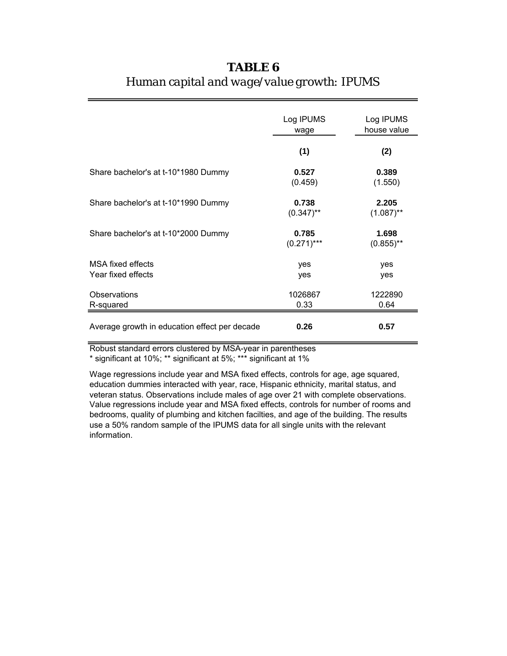|                                               | Log IPUMS<br>wage      | Log IPUMS<br>house value |
|-----------------------------------------------|------------------------|--------------------------|
|                                               | (1)                    | (2)                      |
| Share bachelor's at t-10*1980 Dummy           | 0.527<br>(0.459)       | 0.389<br>(1.550)         |
| Share bachelor's at t-10*1990 Dummy           | 0.738<br>$(0.347)$ **  | 2.205<br>$(1.087)$ **    |
| Share bachelor's at t-10*2000 Dummy           | 0.785<br>$(0.271)$ *** | 1.698<br>$(0.855)$ **    |
| MSA fixed effects<br>Year fixed effects       | yes<br>yes             | yes<br>yes               |
| <b>Observations</b><br>R-squared              | 1026867<br>0.33        | 1222890<br>0.64          |
| Average growth in education effect per decade | 0.26                   | 0.57                     |

## **TABLE 6** *Human capital and wage/value growth: IPUMS*

Robust standard errors clustered by MSA-year in parentheses

\* significant at 10%; \*\* significant at 5%; \*\*\* significant at 1%

Wage regressions include year and MSA fixed effects, controls for age, age squared, education dummies interacted with year, race, Hispanic ethnicity, marital status, and veteran status. Observations include males of age over 21 with complete observations. Value regressions include year and MSA fixed effects, controls for number of rooms and bedrooms, quality of plumbing and kitchen facilties, and age of the building. The results use a 50% random sample of the IPUMS data for all single units with the relevant information.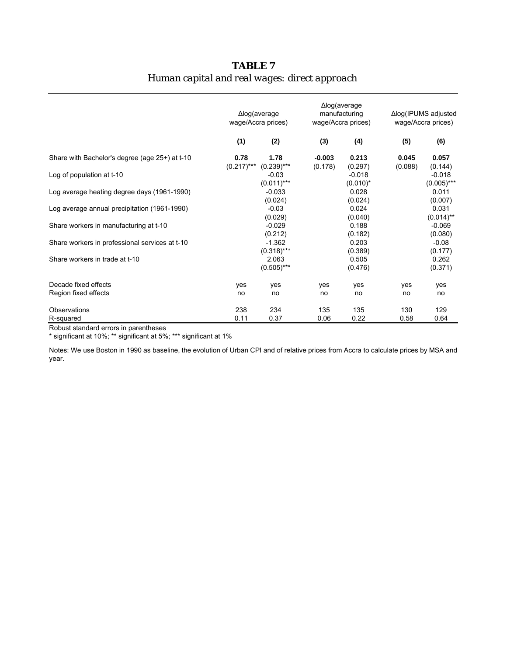|                                                | $\Delta$ log(average<br>wage/Accra prices) |                           | $\Delta$ log(average<br>manufacturing<br>wage/Accra prices) |                         | Δlog(IPUMS adjusted<br>wage/Accra prices) |                           |
|------------------------------------------------|--------------------------------------------|---------------------------|-------------------------------------------------------------|-------------------------|-------------------------------------------|---------------------------|
|                                                | (1)                                        | (2)                       | (3)                                                         | (4)                     | (5)                                       | (6)                       |
| Share with Bachelor's degree (age 25+) at t-10 | 0.78<br>$(0.217)$ ***                      | 1.78<br>$(0.239)$ ***     | $-0.003$<br>(0.178)                                         | 0.213<br>(0.297)        | 0.045<br>(0.088)                          | 0.057<br>(0.144)          |
| Log of population at t-10                      |                                            | $-0.03$<br>$(0.011)***$   |                                                             | $-0.018$<br>$(0.010)^*$ |                                           | $-0.018$<br>$(0.005)$ *** |
| Log average heating degree days (1961-1990)    |                                            | $-0.033$<br>(0.024)       |                                                             | 0.028<br>(0.024)        |                                           | 0.011<br>(0.007)          |
| Log average annual precipitation (1961-1990)   |                                            | $-0.03$<br>(0.029)        |                                                             | 0.024<br>(0.040)        |                                           | 0.031<br>$(0.014)$ **     |
| Share workers in manufacturing at t-10         |                                            | $-0.029$<br>(0.212)       |                                                             | 0.188<br>(0.182)        |                                           | $-0.069$<br>(0.080)       |
| Share workers in professional services at t-10 |                                            | $-1.362$<br>$(0.318)$ *** |                                                             | 0.203<br>(0.389)        |                                           | $-0.08$<br>(0.177)        |
| Share workers in trade at t-10                 |                                            | 2.063<br>$(0.505)$ ***    |                                                             | 0.505<br>(0.476)        |                                           | 0.262<br>(0.371)          |
| Decade fixed effects                           | yes                                        | yes                       | yes                                                         | yes                     | yes                                       | yes                       |
| Region fixed effects                           | no                                         | no                        | no                                                          | no                      | no                                        | no                        |
| Observations                                   | 238                                        | 234                       | 135                                                         | 135                     | 130                                       | 129                       |
| R-squared                                      | 0.11                                       | 0.37                      | 0.06                                                        | 0.22                    | 0.58                                      | 0.64                      |

## **TABLE 7** *Human capital and real wages: direct approach*

Robust standard errors in parentheses

\* significant at 10%; \*\* significant at 5%; \*\*\* significant at 1%

Notes: We use Boston in 1990 as baseline, the evolution of Urban CPI and of relative prices from Accra to calculate prices by MSA and year.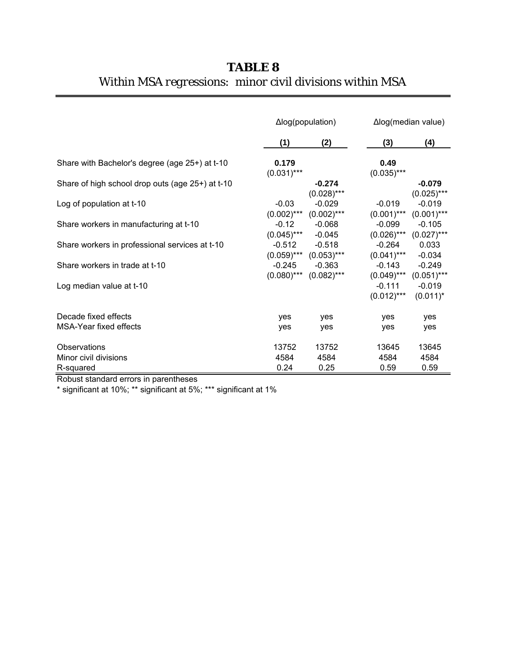# **(1) (2) (3) (4)** (0.031)\*\*\* (0.035)\*\*\* ∆log(population) ∆log(median value)

| <b>TABLE 8</b> |                                                          |  |  |  |  |
|----------------|----------------------------------------------------------|--|--|--|--|
|                | Within MSA regressions: minor civil divisions within MSA |  |  |  |  |

|                                                  | (1)                       | (2)                       | (3)                       | (4)                       |
|--------------------------------------------------|---------------------------|---------------------------|---------------------------|---------------------------|
| Share with Bachelor's degree (age 25+) at t-10   | 0.179<br>$(0.031)$ ***    |                           | 0.49<br>$(0.035)$ ***     |                           |
| Share of high school drop outs (age 25+) at t-10 |                           | $-0.274$<br>$(0.028)$ *** |                           | $-0.079$<br>$(0.025)$ *** |
| Log of population at t-10                        | $-0.03$<br>$(0.002)$ ***  | $-0.029$<br>$(0.002)$ *** | $-0.019$<br>$(0.001)$ *** | $-0.019$<br>$(0.001)$ *** |
| Share workers in manufacturing at t-10           | $-0.12$<br>$(0.045)$ ***  | $-0.068$<br>$-0.045$      | $-0.099$<br>$(0.026)$ *** | $-0.105$<br>$(0.027)$ *** |
| Share workers in professional services at t-10   | $-0.512$<br>$(0.059)$ *** | $-0.518$<br>$(0.053)$ *** | $-0.264$<br>$(0.041)$ *** | 0.033<br>$-0.034$         |
| Share workers in trade at t-10                   | $-0.245$<br>$(0.080)$ *** | $-0.363$<br>$(0.082)$ *** | $-0.143$<br>$(0.049)$ *** | $-0.249$<br>$(0.051)$ *** |
| Log median value at t-10                         |                           |                           | $-0.111$<br>$(0.012)$ *** | $-0.019$<br>$(0.011)^*$   |
| Decade fixed effects                             | yes                       | yes                       | yes                       | yes                       |
| MSA-Year fixed effects                           | yes                       | yes                       | yes                       | yes                       |
| <b>Observations</b>                              | 13752                     | 13752                     | 13645                     | 13645                     |
| Minor civil divisions                            | 4584                      | 4584                      | 4584                      | 4584                      |
| R-squared                                        | 0.24                      | 0.25                      | 0.59                      | 0.59                      |

Robust standard errors in parentheses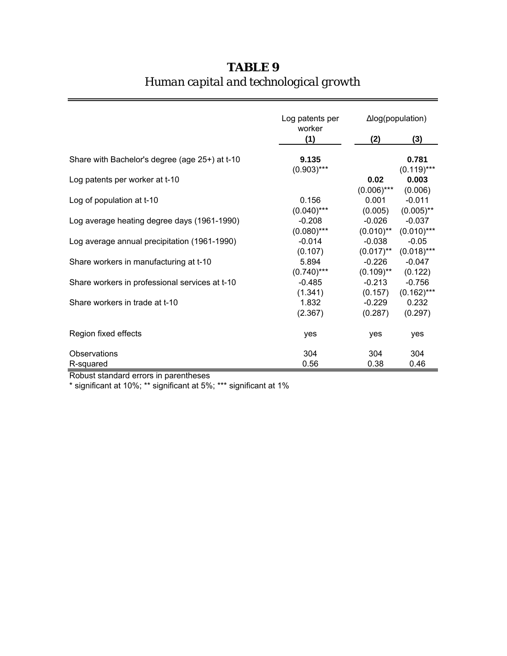|                                                | Log patents per<br>worker |               | Δlog(population)           |
|------------------------------------------------|---------------------------|---------------|----------------------------|
|                                                | (1)                       | (2)           | (3)                        |
| Share with Bachelor's degree (age 25+) at t-10 | 9.135<br>$(0.903)$ ***    |               | 0.781<br>$(0.119)$ ***     |
| Log patents per worker at t-10                 |                           | 0.02          | 0.003                      |
|                                                |                           | $(0.006)$ *** | (0.006)                    |
| Log of population at t-10                      | 0.156                     | 0.001         | $-0.011$                   |
|                                                | $(0.040)$ ***             | (0.005)       | $(0.005)$ **               |
| Log average heating degree days (1961-1990)    | $-0.208$                  | $-0.026$      | $-0.037$                   |
|                                                | $(0.080)$ ***             |               | $(0.010)$ ** $(0.010)$ *** |
| Log average annual precipitation (1961-1990)   | $-0.014$                  | $-0.038$      | $-0.05$                    |
|                                                | (0.107)                   |               | $(0.017)$ ** $(0.018)$ *** |
| Share workers in manufacturing at t-10         | 5.894                     | $-0.226$      | $-0.047$                   |
|                                                | $(0.740)$ ***             | $(0.109)$ **  | (0.122)                    |
| Share workers in professional services at t-10 | $-0.485$                  | $-0.213$      | $-0.756$                   |
|                                                | (1.341)                   |               | $(0.157)$ $(0.162)$ ***    |
| Share workers in trade at t-10                 | 1.832                     | $-0.229$      | 0.232                      |
|                                                | (2.367)                   | (0.287)       | (0.297)                    |
| Region fixed effects                           | yes                       | yes           | yes                        |
| Observations                                   | 304                       | 304           | 304                        |
| R-squared                                      | 0.56                      | 0.38          | 0.46                       |

## **TABLE 9** *Human capital and technological growth*

Robust standard errors in parentheses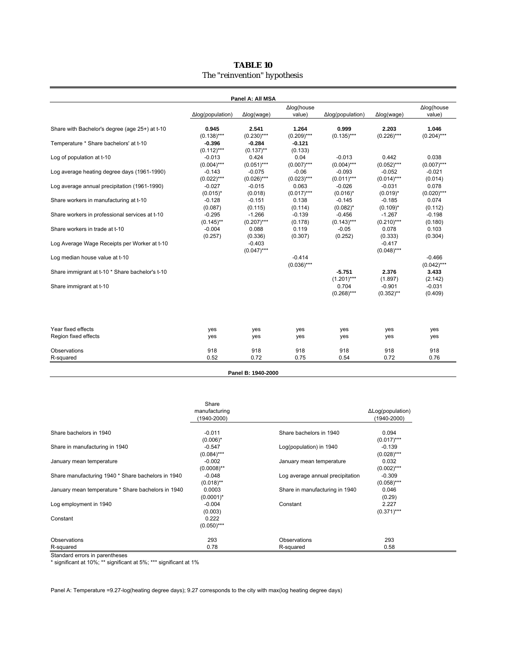| Panel A: All MSA                                                               |                          |                              |                              |                                         |                                     |                                |  |
|--------------------------------------------------------------------------------|--------------------------|------------------------------|------------------------------|-----------------------------------------|-------------------------------------|--------------------------------|--|
|                                                                                | $\Delta$ log(population) | $\Delta$ log(wage)           | $\Delta$ log(house<br>value) | $\Delta$ log(population)                | $\Delta$ log(wage)                  | $\Delta$ log(house<br>value)   |  |
| Share with Bachelor's degree (age 25+) at t-10                                 | 0.945                    | 2.541                        | 1.264                        | 0.999                                   | 2.203                               | 1.046                          |  |
|                                                                                | $(0.138)$ ***            | $(0.230)$ ***                | $(0.209)$ ***                | $(0.135)$ ***                           | $(0.226)$ ***                       | $(0.204)$ ***                  |  |
| Temperature * Share bachelors' at t-10                                         | $-0.396$<br>$(0.112)***$ | $-0.284$<br>$(0.137)$ **     | $-0.121$<br>(0.133)          |                                         |                                     |                                |  |
| Log of population at t-10                                                      | $-0.013$                 | 0.424                        | 0.04                         | $-0.013$                                | 0.442                               | 0.038                          |  |
|                                                                                | $(0.004)$ ***            | $(0.051)$ ***                | $(0.007)$ ***                | $(0.004)$ ***                           | $(0.052)$ ***                       | $(0.007)$ ***                  |  |
| Log average heating degree days (1961-1990)                                    | $-0.143$                 | $-0.075$                     | $-0.06$                      | $-0.093$                                | $-0.052$                            | $-0.021$                       |  |
|                                                                                | $(0.022)$ ***            | $(0.026)$ ***                | $(0.023)$ ***                | $(0.011)$ ***                           | $(0.014)$ ***                       | (0.014)                        |  |
| Log average annual precipitation (1961-1990)                                   | $-0.027$                 | $-0.015$                     | 0.063                        | $-0.026$                                | $-0.031$                            | 0.078                          |  |
|                                                                                | $(0.015)^*$              | (0.018)                      | $(0.017)$ ***                | $(0.016)^*$                             | $(0.019)^*$                         | $(0.020)$ ***                  |  |
| Share workers in manufacturing at t-10                                         | $-0.128$                 | $-0.151$                     | 0.138                        | $-0.145$                                | $-0.185$                            | 0.074                          |  |
|                                                                                | (0.087)                  | (0.115)                      | (0.114)                      | $(0.082)^*$                             | $(0.109)^*$                         | (0.112)                        |  |
| Share workers in professional services at t-10                                 | $-0.295$                 | $-1.266$                     | $-0.139$                     | $-0.456$                                | $-1.267$                            | $-0.198$                       |  |
|                                                                                | $(0.145)$ **             | $(0.207)$ ***                | (0.178)                      | $(0.143)***$                            | $(0.210)$ ***                       | (0.180)                        |  |
| Share workers in trade at t-10<br>Log Average Wage Receipts per Worker at t-10 | $-0.004$<br>(0.257)      | 0.088<br>(0.336)<br>$-0.403$ | 0.119<br>(0.307)             | $-0.05$<br>(0.252)                      | 0.078<br>(0.333)<br>$-0.417$        | 0.103<br>(0.304)               |  |
| Log median house value at t-10                                                 |                          | $(0.047)$ ***                | $-0.414$                     |                                         | $(0.048)$ ***                       | $-0.466$                       |  |
| Share immigrant at t-10 * Share bachelor's t-10                                |                          |                              | $(0.036)$ ***                | $-5.751$                                | 2.376                               | $(0.042)$ ***<br>3.433         |  |
| Share immigrant at t-10                                                        |                          |                              |                              | $(1.201)$ ***<br>0.704<br>$(0.268)$ *** | (1.897)<br>$-0.901$<br>$(0.352)$ ** | (2.142)<br>$-0.031$<br>(0.409) |  |
|                                                                                |                          |                              |                              |                                         |                                     |                                |  |
| Year fixed effects                                                             | yes                      | yes                          | yes                          | ves                                     | yes                                 | yes                            |  |
| Region fixed effects                                                           | yes                      | yes                          | yes                          | yes                                     | ves                                 | yes                            |  |
| Observations                                                                   | 918                      | 918                          | 918                          | 918                                     | 918                                 | 918                            |  |
| R-squared                                                                      | 0.52                     | 0.72                         | 0.75                         | 0.54                                    | 0.72                                | 0.76                           |  |

### **TABLE 10** *The "reinvention" hypothesis*

**Panel B: 1940-2000**

|                                                    | Share<br>manufacturing<br>(1940-2000) |                                  | $\Delta$ Log(population)<br>$(1940 - 2000)$ |
|----------------------------------------------------|---------------------------------------|----------------------------------|---------------------------------------------|
| Share bachelors in 1940                            | $-0.011$                              | Share bachelors in 1940          | 0.094                                       |
|                                                    | $(0.006)^*$                           |                                  | $(0.017)$ ***                               |
| Share in manufacturing in 1940                     | $-0.547$                              | Log(population) in 1940          | $-0.139$                                    |
|                                                    | $(0.084)$ ***                         |                                  | $(0.028)$ ***                               |
| January mean temperature                           | $-0.002$                              | January mean temperature         | 0.032                                       |
|                                                    | $(0.0008)$ **                         |                                  | $(0.002)$ ***                               |
| Share manufacturing 1940 * Share bachelors in 1940 | $-0.048$                              | Log average annual precipitation | $-0.309$                                    |
|                                                    | $(0.018)$ **                          |                                  | $(0.058)$ ***                               |
| January mean temperature * Share bachelors in 1940 | 0.0003                                | Share in manufacturing in 1940   | 0.046                                       |
|                                                    | $(0.0001)^*$                          |                                  | (0.29)                                      |
| Log employment in 1940                             | $-0.004$                              | Constant                         | 2.227                                       |
|                                                    | (0.003)                               |                                  | $(0.371)$ ***                               |
| Constant                                           | 0.222                                 |                                  |                                             |
|                                                    | $(0.050)$ ***                         |                                  |                                             |
| Observations                                       | 293                                   | Observations                     | 293                                         |
| R-squared                                          | 0.78                                  | R-squared                        | 0.58                                        |

Standard errors in parentheses

\* significant at 10%; \*\* significant at 5%; \*\*\* significant at 1%

Panel A: Temperature =9.27-log(heating degree days); 9.27 corresponds to the city with max(log heating degree days)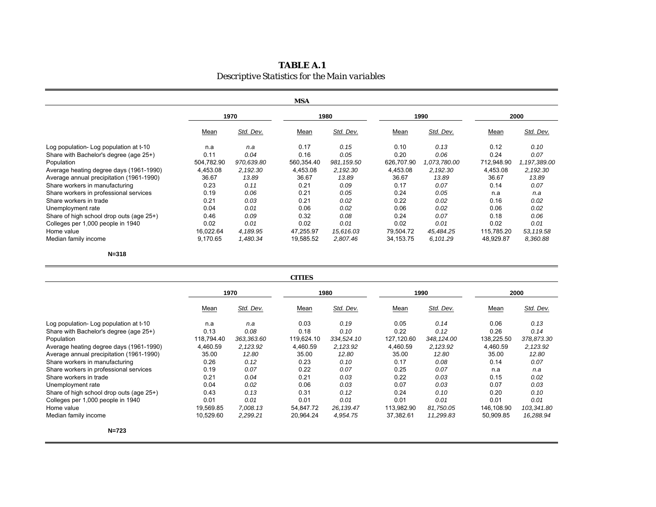| <b>MSA</b>                               |            |            |            |            |             |              |            |              |
|------------------------------------------|------------|------------|------------|------------|-------------|--------------|------------|--------------|
|                                          | 1970       |            | 1980       |            | 1990        |              | 2000       |              |
|                                          | Mean       | Std. Dev.  | Mean       | Std. Dev.  | Mean        | Std. Dev.    | Mean       | Std. Dev.    |
| Log population- Log population at t-10   | n.a        | n.a        | 0.17       | 0.15       | 0.10        | 0.13         | 0.12       | 0.10         |
| Share with Bachelor's degree (age 25+)   | 0.11       | 0.04       | 0.16       | 0.05       | 0.20        | 0.06         | 0.24       | 0.07         |
| Population                               | 504,782.90 | 970,639.80 | 560,354.40 | 981,159.50 | 626,707.90  | 1,073,780.00 | 712.948.90 | 1,197,389.00 |
| Average heating degree days (1961-1990)  | 4,453.08   | 2,192.30   | 4,453.08   | 2,192.30   | 4,453.08    | 2,192.30     | 4,453.08   | 2,192.30     |
| Average annual precipitation (1961-1990) | 36.67      | 13.89      | 36.67      | 13.89      | 36.67       | 13.89        | 36.67      | 13.89        |
| Share workers in manufacturing           | 0.23       | 0.11       | 0.21       | 0.09       | 0.17        | 0.07         | 0.14       | 0.07         |
| Share workers in professional services   | 0.19       | 0.06       | 0.21       | 0.05       | 0.24        | 0.05         | n.a        | n.a          |
| Share workers in trade                   | 0.21       | 0.03       | 0.21       | 0.02       | 0.22        | 0.02         | 0.16       | 0.02         |
| Unemployment rate                        | 0.04       | 0.01       | 0.06       | 0.02       | 0.06        | 0.02         | 0.06       | 0.02         |
| Share of high school drop outs (age 25+) | 0.46       | 0.09       | 0.32       | 0.08       | 0.24        | 0.07         | 0.18       | 0.06         |
| Colleges per 1,000 people in 1940        | 0.02       | 0.01       | 0.02       | 0.01       | 0.02        | 0.01         | 0.02       | 0.01         |
| Home value                               | 16,022.64  | 4,189.95   | 47,255.97  | 15,616.03  | 79,504.72   | 45,484.25    | 115,785.20 | 53,119.58    |
| Median family income                     | 9,170.65   | 1,480.34   | 19,585.52  | 2,807.46   | 34, 153. 75 | 6,101.29     | 48,929.87  | 8,360.88     |

**TABLE A.1** *Descriptive Statistics for the Main variables*

**N=318**

| <b>CITIES</b>                            |             |            |            |            |            |             |            |            |
|------------------------------------------|-------------|------------|------------|------------|------------|-------------|------------|------------|
|                                          | 1970        |            | 1980       |            | 1990       |             | 2000       |            |
|                                          | <u>Mean</u> | Std. Dev.  | Mean       | Std. Dev.  | Mean       | Std. Dev.   | Mean       | Std. Dev.  |
| Log population- Log population at t-10   | n.a         | n.a        | 0.03       | 0.19       | 0.05       | 0.14        | 0.06       | 0.13       |
| Share with Bachelor's degree (age 25+)   | 0.13        | 0.08       | 0.18       | 0.10       | 0.22       | 0.12        | 0.26       | 0.14       |
| Population                               | 118,794.40  | 363,363.60 | 119,624.10 | 334,524.10 | 127,120.60 | 348, 124.00 | 138,225.50 | 378,873.30 |
| Average heating degree days (1961-1990)  | 4,460.59    | 2,123.92   | 4,460.59   | 2,123.92   | 4,460.59   | 2,123.92    | 4,460.59   | 2,123.92   |
| Average annual precipitation (1961-1990) | 35.00       | 12.80      | 35.00      | 12.80      | 35.00      | 12.80       | 35.00      | 12.80      |
| Share workers in manufacturing           | 0.26        | 0.12       | 0.23       | 0.10       | 0.17       | 0.08        | 0.14       | 0.07       |
| Share workers in professional services   | 0.19        | 0.07       | 0.22       | 0.07       | 0.25       | 0.07        | n.a        | n.a        |
| Share workers in trade                   | 0.21        | 0.04       | 0.21       | 0.03       | 0.22       | 0.03        | 0.15       | 0.02       |
| Unemployment rate                        | 0.04        | 0.02       | 0.06       | 0.03       | 0.07       | 0.03        | 0.07       | 0.03       |
| Share of high school drop outs (age 25+) | 0.43        | 0.13       | 0.31       | 0.12       | 0.24       | 0.10        | 0.20       | 0.10       |
| Colleges per 1,000 people in 1940        | 0.01        | 0.01       | 0.01       | 0.01       | 0.01       | 0.01        | 0.01       | 0.01       |
| Home value                               | 19.569.85   | 7,008.13   | 54,847.72  | 26, 139.47 | 113,982.90 | 81,750.05   | 146,108.90 | 103,341.80 |
| Median family income                     | 10,529.60   | 2,299.21   | 20,964.24  | 4,954.75   | 37,382.61  | 11,299.83   | 50,909.85  | 16,288.94  |
| $N = 723$                                |             |            |            |            |            |             |            |            |